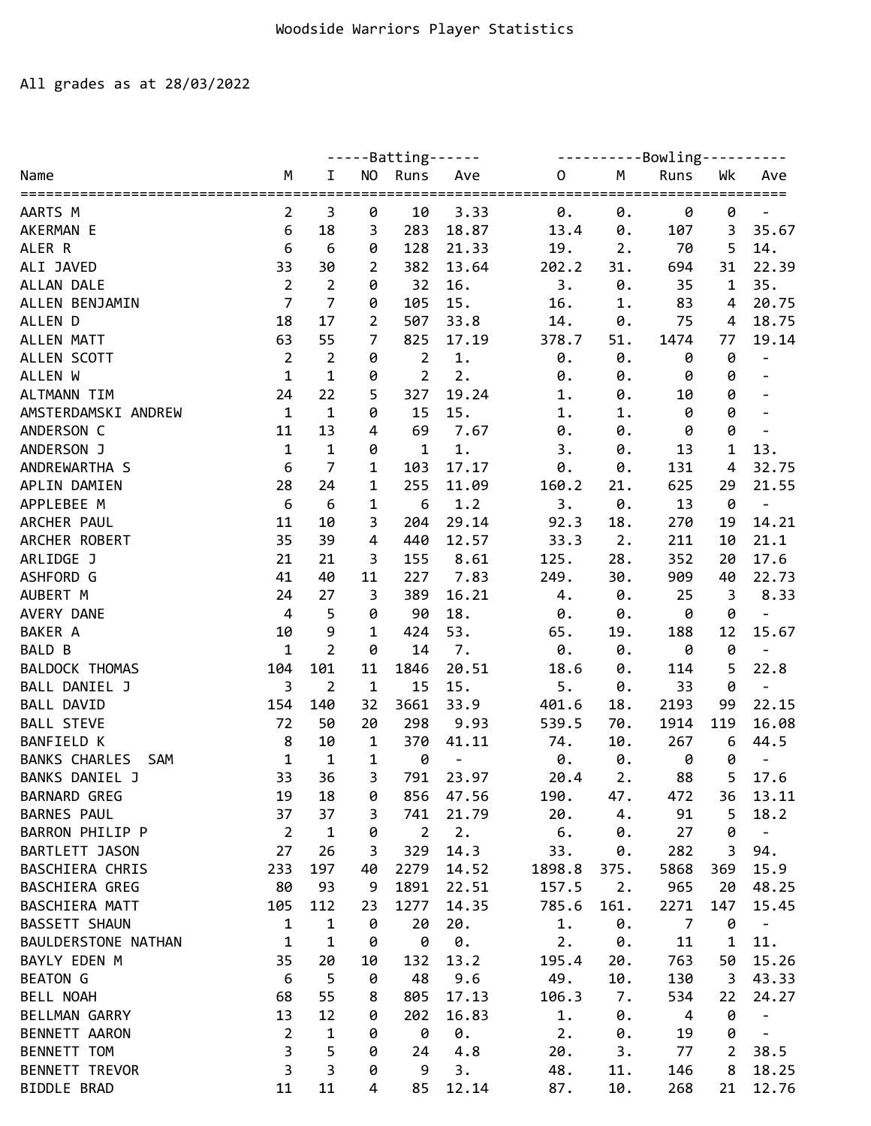## All grades as at 28/03/2022

| Bowling----<br><b>NO</b><br>Runs<br>Runs<br>Wk<br>M<br>Ave<br>M<br>Name<br>I<br>0<br>Ave<br>======================================<br>========<br>3<br>10<br>3.33<br>0.<br>0.<br>0<br>0<br>AARTS M<br>2<br>0<br>6<br>283<br>3<br>35.67<br>AKERMAN E<br>18<br>3<br>18.87<br>13.4<br>0.<br>107<br>5<br>6<br>128<br>19.<br>70<br>14.<br>ALER R<br>6<br>0<br>21.33<br>2.<br>22.39<br>33<br>30<br>382<br>13.64<br>202.2<br>31.<br>31<br>ALI JAVED<br>2<br>694<br>$\overline{2}$<br>$\overline{2}$<br>32<br>16.<br>3.<br>0.<br>35.<br>ALLAN DALE<br>0<br>35<br>$\mathbf{1}$<br>$\overline{7}$<br>$\overline{7}$<br>ALLEN BENJAMIN<br>105<br>15.<br>83<br>20.75<br>0<br>16.<br>1.<br>4<br>18<br>17<br>$\overline{2}$<br>507<br>ALLEN D<br>33.8<br>14.<br>75<br>18.75<br>0.<br>4<br>ALLEN MATT<br>7<br>825<br>17.19<br>19.14<br>63<br>55<br>378.7<br>51.<br>1474<br>77<br>$\overline{2}$<br>$\overline{2}$<br>$\overline{2}$<br>$1.$<br>0<br>ALLEN SCOTT<br>0<br>0.<br>0.<br>0<br>$\overline{\phantom{a}}$ |
|----------------------------------------------------------------------------------------------------------------------------------------------------------------------------------------------------------------------------------------------------------------------------------------------------------------------------------------------------------------------------------------------------------------------------------------------------------------------------------------------------------------------------------------------------------------------------------------------------------------------------------------------------------------------------------------------------------------------------------------------------------------------------------------------------------------------------------------------------------------------------------------------------------------------------------------------------------------------------------------------------|
|                                                                                                                                                                                                                                                                                                                                                                                                                                                                                                                                                                                                                                                                                                                                                                                                                                                                                                                                                                                                    |
|                                                                                                                                                                                                                                                                                                                                                                                                                                                                                                                                                                                                                                                                                                                                                                                                                                                                                                                                                                                                    |
|                                                                                                                                                                                                                                                                                                                                                                                                                                                                                                                                                                                                                                                                                                                                                                                                                                                                                                                                                                                                    |
|                                                                                                                                                                                                                                                                                                                                                                                                                                                                                                                                                                                                                                                                                                                                                                                                                                                                                                                                                                                                    |
|                                                                                                                                                                                                                                                                                                                                                                                                                                                                                                                                                                                                                                                                                                                                                                                                                                                                                                                                                                                                    |
|                                                                                                                                                                                                                                                                                                                                                                                                                                                                                                                                                                                                                                                                                                                                                                                                                                                                                                                                                                                                    |
|                                                                                                                                                                                                                                                                                                                                                                                                                                                                                                                                                                                                                                                                                                                                                                                                                                                                                                                                                                                                    |
|                                                                                                                                                                                                                                                                                                                                                                                                                                                                                                                                                                                                                                                                                                                                                                                                                                                                                                                                                                                                    |
|                                                                                                                                                                                                                                                                                                                                                                                                                                                                                                                                                                                                                                                                                                                                                                                                                                                                                                                                                                                                    |
|                                                                                                                                                                                                                                                                                                                                                                                                                                                                                                                                                                                                                                                                                                                                                                                                                                                                                                                                                                                                    |
| $\overline{2}$<br>$\mathbf{1}$<br>$\mathbf{1}$<br>2.<br>ALLEN W<br>0<br>0<br>0.<br>0.<br>0                                                                                                                                                                                                                                                                                                                                                                                                                                                                                                                                                                                                                                                                                                                                                                                                                                                                                                         |
| 22<br>327<br>19.24<br>0<br><b>ALTMANN TIM</b><br>24<br>5<br>1.<br>10<br>0.<br>$\overline{a}$                                                                                                                                                                                                                                                                                                                                                                                                                                                                                                                                                                                                                                                                                                                                                                                                                                                                                                       |
| 0<br>AMSTERDAMSKI ANDREW<br>$\mathbf{1}$<br>$\mathbf{1}$<br>0<br>15.<br>15<br>0<br>1.<br>1.                                                                                                                                                                                                                                                                                                                                                                                                                                                                                                                                                                                                                                                                                                                                                                                                                                                                                                        |
| 0<br>ANDERSON C<br>69<br>11<br>13<br>7.67<br>4<br>0.<br>0.<br>0                                                                                                                                                                                                                                                                                                                                                                                                                                                                                                                                                                                                                                                                                                                                                                                                                                                                                                                                    |
| $\mathbf 1$<br>13.<br>ANDERSON J<br>$\mathbf{1}$<br>0<br>$\mathbf{1}$<br>1.<br>1<br>3.<br>0.<br>13                                                                                                                                                                                                                                                                                                                                                                                                                                                                                                                                                                                                                                                                                                                                                                                                                                                                                                 |
| 7<br>6<br>32.75<br>ANDREWARTHA S<br>1<br>103<br>17.17<br>0.<br>0.<br>131<br>4                                                                                                                                                                                                                                                                                                                                                                                                                                                                                                                                                                                                                                                                                                                                                                                                                                                                                                                      |
| 255<br>625<br>21.55<br>APLIN DAMIEN<br>28<br>24<br>1<br>11.09<br>160.2<br>29<br>21.                                                                                                                                                                                                                                                                                                                                                                                                                                                                                                                                                                                                                                                                                                                                                                                                                                                                                                                |
| APPLEBEE M<br>6<br>6<br>1<br>6<br>1.2<br>3.<br>0.<br>13<br>0<br>$\overline{\phantom{a}}$                                                                                                                                                                                                                                                                                                                                                                                                                                                                                                                                                                                                                                                                                                                                                                                                                                                                                                           |
| ARCHER PAUL<br>11<br>29.14<br>14.21<br>10<br>3<br>204<br>92.3<br>18.<br>270<br>19                                                                                                                                                                                                                                                                                                                                                                                                                                                                                                                                                                                                                                                                                                                                                                                                                                                                                                                  |
| ARCHER ROBERT<br>35<br>$\overline{4}$<br>440<br>12.57<br>2.<br>21.1<br>39<br>33.3<br>211<br>10                                                                                                                                                                                                                                                                                                                                                                                                                                                                                                                                                                                                                                                                                                                                                                                                                                                                                                     |
| ARLIDGE J<br>21<br>8.61<br>28.<br>352<br>17.6<br>21<br>3<br>155<br>125.<br>20                                                                                                                                                                                                                                                                                                                                                                                                                                                                                                                                                                                                                                                                                                                                                                                                                                                                                                                      |
| 227<br>ASHFORD G<br>41<br>40<br>11<br>7.83<br>249.<br>30.<br>909<br>40<br>22.73                                                                                                                                                                                                                                                                                                                                                                                                                                                                                                                                                                                                                                                                                                                                                                                                                                                                                                                    |
| AUBERT M<br>389<br>24<br>27<br>3<br>16.21<br>0.<br>25<br>3<br>8.33<br>4.                                                                                                                                                                                                                                                                                                                                                                                                                                                                                                                                                                                                                                                                                                                                                                                                                                                                                                                           |
| 90<br>0<br>AVERY DANE<br>$\overline{4}$<br>5<br>0<br>18.<br>0.<br>0.<br>0<br>$\frac{1}{2}$                                                                                                                                                                                                                                                                                                                                                                                                                                                                                                                                                                                                                                                                                                                                                                                                                                                                                                         |
| 53.<br><b>BAKER A</b><br>9<br>424<br>12<br>15.67<br>10<br>$\mathbf 1$<br>65.<br>19.<br>188                                                                                                                                                                                                                                                                                                                                                                                                                                                                                                                                                                                                                                                                                                                                                                                                                                                                                                         |
| $\overline{2}$<br>$\pmb{\theta}$<br><b>BALD B</b><br>$\mathbf 1$<br>14<br>7.<br>0.<br>0<br>0.<br>0                                                                                                                                                                                                                                                                                                                                                                                                                                                                                                                                                                                                                                                                                                                                                                                                                                                                                                 |
| 5<br>20.51<br>22.8<br><b>BALDOCK THOMAS</b><br>104<br>101<br>11<br>1846<br>114<br>18.6<br>0.                                                                                                                                                                                                                                                                                                                                                                                                                                                                                                                                                                                                                                                                                                                                                                                                                                                                                                       |
| BALL DANIEL J<br>3<br>$\overline{2}$<br>$\mathbf 1$<br>5.<br>0<br>15<br>15.<br>33<br>0.                                                                                                                                                                                                                                                                                                                                                                                                                                                                                                                                                                                                                                                                                                                                                                                                                                                                                                            |
| 3661<br>33.9<br>22.15<br><b>BALL DAVID</b><br>154<br>140<br>32<br>401.6<br>2193<br>99<br>18.                                                                                                                                                                                                                                                                                                                                                                                                                                                                                                                                                                                                                                                                                                                                                                                                                                                                                                       |
| <b>BALL STEVE</b><br>72<br>298<br>16.08<br>50<br>20<br>9.93<br>539.5<br>70.<br>1914<br>119                                                                                                                                                                                                                                                                                                                                                                                                                                                                                                                                                                                                                                                                                                                                                                                                                                                                                                         |
| 8<br>370<br><b>BANFIELD K</b><br>10<br>$\mathbf 1$<br>74.<br>10.<br>267<br>6<br>44.5<br>41.11                                                                                                                                                                                                                                                                                                                                                                                                                                                                                                                                                                                                                                                                                                                                                                                                                                                                                                      |
| $\mathbf 1$<br>$\mathbf{1}$<br>0<br><b>BANKS CHARLES</b><br>1<br>0.<br>0.<br>0<br>SAM<br>0<br>$\overline{\phantom{a}}$<br>$\overline{\phantom{a}}$                                                                                                                                                                                                                                                                                                                                                                                                                                                                                                                                                                                                                                                                                                                                                                                                                                                 |
| 36<br>5<br><b>BANKS DANIEL J</b><br>33<br>3<br>791<br>88<br>17.6<br>23.97<br>20.4<br>2.                                                                                                                                                                                                                                                                                                                                                                                                                                                                                                                                                                                                                                                                                                                                                                                                                                                                                                            |
| 18<br><b>BARNARD GREG</b><br>19<br>856<br>47.56<br>190.<br>47.<br>13.11<br>0<br>472<br>36                                                                                                                                                                                                                                                                                                                                                                                                                                                                                                                                                                                                                                                                                                                                                                                                                                                                                                          |
| <b>BARNES PAUL</b><br>37<br>37<br>741<br>21.79<br>20.<br>91<br>5<br>18.2<br>3<br>4.                                                                                                                                                                                                                                                                                                                                                                                                                                                                                                                                                                                                                                                                                                                                                                                                                                                                                                                |
| $\overline{2}$<br>BARRON PHILIP P<br>0<br>$\overline{2}$<br>2.<br>6.<br>$\mathbf{1}$<br>27<br>0<br>0.<br>$\overline{\phantom{a}}$                                                                                                                                                                                                                                                                                                                                                                                                                                                                                                                                                                                                                                                                                                                                                                                                                                                                  |
| BARTLETT JASON<br>3<br>14.3<br>27<br>26<br>329<br>33.<br>282<br>3<br>94.<br>0.                                                                                                                                                                                                                                                                                                                                                                                                                                                                                                                                                                                                                                                                                                                                                                                                                                                                                                                     |
| BASCHIERA CHRIS<br>233<br>197<br>2279<br>1898.8<br>5868<br>15.9<br>40<br>14.52<br>375.<br>369                                                                                                                                                                                                                                                                                                                                                                                                                                                                                                                                                                                                                                                                                                                                                                                                                                                                                                      |
| 80<br>BASCHIERA GREG<br>93<br>9<br>1891<br>157.5<br>2.<br>965<br>20<br>48.25<br>22.51                                                                                                                                                                                                                                                                                                                                                                                                                                                                                                                                                                                                                                                                                                                                                                                                                                                                                                              |
| BASCHIERA MATT<br>105<br>112<br>1277<br>785.6<br>161.<br>2271<br>15.45<br>23<br>14.35<br>147                                                                                                                                                                                                                                                                                                                                                                                                                                                                                                                                                                                                                                                                                                                                                                                                                                                                                                       |
| <b>BASSETT SHAUN</b><br>$\mathbf 1$<br>1<br>20<br>20.<br>1.<br>0.<br>$\overline{7}$<br>0<br>0<br>$\overline{\phantom{a}}$                                                                                                                                                                                                                                                                                                                                                                                                                                                                                                                                                                                                                                                                                                                                                                                                                                                                          |
| 0.<br>2.<br><b>BAULDERSTONE NATHAN</b><br>$\mathbf{1}$<br>$\mathbf{1}$<br>0<br>0.<br>11<br>1<br>11.<br>0                                                                                                                                                                                                                                                                                                                                                                                                                                                                                                                                                                                                                                                                                                                                                                                                                                                                                           |
| 35<br>15.26<br>BAYLY EDEN M<br>20<br>13.2<br>195.4<br>763<br>50<br>10<br>132<br>20.                                                                                                                                                                                                                                                                                                                                                                                                                                                                                                                                                                                                                                                                                                                                                                                                                                                                                                                |
| 5<br><b>BEATON G</b><br>6<br>48<br>9.6<br>49.<br>130<br>3<br>43.33<br>0<br>10.                                                                                                                                                                                                                                                                                                                                                                                                                                                                                                                                                                                                                                                                                                                                                                                                                                                                                                                     |
| 68<br>106.3<br>BELL NOAH<br>55<br>805<br>17.13<br>7.<br>534<br>22<br>24.27<br>8                                                                                                                                                                                                                                                                                                                                                                                                                                                                                                                                                                                                                                                                                                                                                                                                                                                                                                                    |
| 0<br>13<br>12<br>202<br>16.83<br>1.<br>$\overline{\mathbf{4}}$<br>BELLMAN GARRY<br>0<br>0.<br>$\overline{\phantom{a}}$                                                                                                                                                                                                                                                                                                                                                                                                                                                                                                                                                                                                                                                                                                                                                                                                                                                                             |
| $\overline{2}$<br>$\mathbf{1}$<br>0.<br>2.<br>0<br>BENNETT AARON<br>0<br>0<br>19<br>0.<br>$\overline{\phantom{a}}$                                                                                                                                                                                                                                                                                                                                                                                                                                                                                                                                                                                                                                                                                                                                                                                                                                                                                 |
| 3<br>5<br>$\overline{2}$<br>38.5<br>BENNETT TOM<br>0<br>4.8<br>20.<br>77<br>24<br>3.                                                                                                                                                                                                                                                                                                                                                                                                                                                                                                                                                                                                                                                                                                                                                                                                                                                                                                               |
| $\overline{\mathbf{3}}$<br>$\overline{3}$<br><b>BENNETT TREVOR</b><br>3.<br>8<br>18.25<br>0<br>9<br>48.<br>146<br>11.                                                                                                                                                                                                                                                                                                                                                                                                                                                                                                                                                                                                                                                                                                                                                                                                                                                                              |
| BIDDLE BRAD<br>11<br>11<br>4<br>85<br>12.14<br>87.<br>10.<br>268<br>21<br>12.76                                                                                                                                                                                                                                                                                                                                                                                                                                                                                                                                                                                                                                                                                                                                                                                                                                                                                                                    |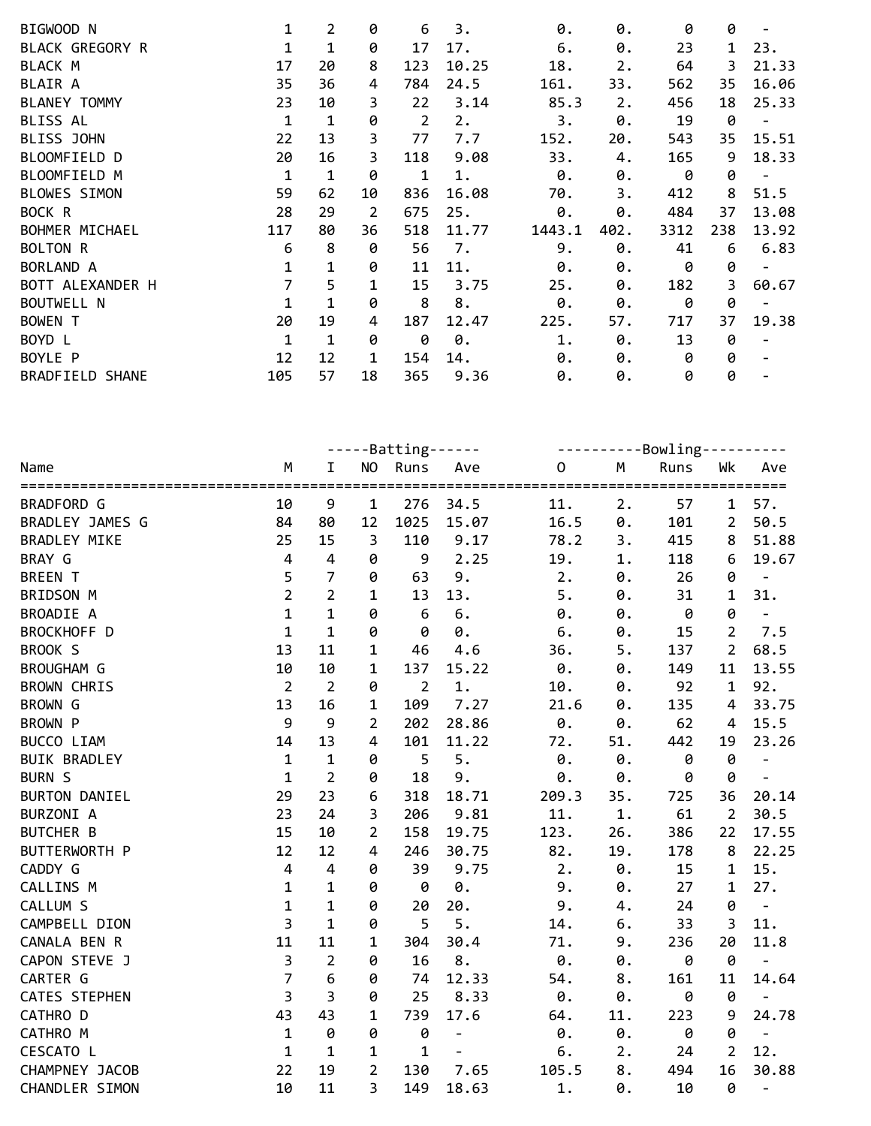| BIGWOOD N              | 1            | 2           | 0  | 6   | 3.    | 0.     | 0.   | 0    | 0   |       |
|------------------------|--------------|-------------|----|-----|-------|--------|------|------|-----|-------|
| <b>BLACK GREGORY R</b> |              | 1           | 0  | 17  | 17.   | 6.     | 0.   | 23   | 1   | 23.   |
| BLACK M                | 17           | 20          | 8  | 123 | 10.25 | 18.    | 2.   | 64   | 3   | 21.33 |
| <b>BLAIR A</b>         | 35           | 36          | 4  | 784 | 24.5  | 161.   | 33.  | 562  | 35  | 16.06 |
| <b>BLANEY TOMMY</b>    | 23           | 10          | 3  | 22  | 3.14  | 85.3   | 2.   | 456  | 18  | 25.33 |
| <b>BLISS AL</b>        | $\mathbf{1}$ | $\mathbf 1$ | 0  | 2   | 2.    | 3.     | 0.   | 19   | 0   |       |
| BLISS JOHN             | 22           | 13          | 3  | 77  | 7.7   | 152.   | 20.  | 543  | 35  | 15.51 |
| BLOOMFIELD D           | 20           | 16          | 3  | 118 | 9.08  | 33.    | 4.   | 165  | 9   | 18.33 |
| BLOOMFIELD M           | 1            | 1           | 0  | 1   | 1.    | 0.     | 0.   | 0    | 0   |       |
| BLOWES SIMON           | 59           | 62          | 10 | 836 | 16.08 | 70.    | 3.   | 412  | 8   | 51.5  |
| BOCK R                 | 28           | 29          | 2  | 675 | 25.   | 0.     | 0.   | 484  | 37  | 13.08 |
| BOHMER MICHAEL         | 117          | 80          | 36 | 518 | 11.77 | 1443.1 | 402. | 3312 | 238 | 13.92 |
| <b>BOLTON R</b>        | 6            | 8           | 0  | 56  | 7.    | 9.     | 0.   | 41   | 6   | 6.83  |
| BORLAND A              | $\mathbf{1}$ | 1           | 0  | 11  | 11.   | 0.     | 0.   | 0    | 0   |       |
| BOTT ALEXANDER H       | 7            | 5           | 1  | 15  | 3.75  | 25.    | 0.   | 182  | 3   | 60.67 |
| <b>BOUTWELL N</b>      | 1            | 1           | 0  | 8   | 8.    | 0.     | 0.   | 0    | 0   |       |
| <b>BOWEN T</b>         | 20           | 19          | 4  | 187 | 12.47 | 225.   | 57.  | 717  | 37  | 19.38 |
| BOYD L                 | $\mathbf{1}$ | 1           | 0  | 0   | 0.    | 1.     | 0.   | 13   | 0   |       |
| BOYLE P                | 12           | 12          | 1  | 154 | 14.   | 0.     | 0.   | 0    | 0   |       |
| <b>BRADFIELD SHANE</b> | 105          | 57          | 18 | 365 | 9.36  | 0.     | 0.   | 0    | 0   |       |

|                      | $---Batting---$ |                |                         |                |                          |             | ----------Bowling---------- |      |                |                          |  |
|----------------------|-----------------|----------------|-------------------------|----------------|--------------------------|-------------|-----------------------------|------|----------------|--------------------------|--|
| Name                 | M               | $\mathbf I$    |                         | NO Runs        | Ave                      | $\mathbf 0$ | M                           | Runs | Wk             | Ave                      |  |
|                      |                 |                | ========                |                |                          |             |                             |      |                |                          |  |
| BRADFORD G           | 10              | 9              | $\mathbf{1}$            | 276            | 34.5                     | 11.         | 2.                          | 57   | $\mathbf{1}$   | 57.                      |  |
| BRADLEY JAMES G      | 84              | 80             | 12                      | 1025           | 15.07                    | 16.5        | 0.                          | 101  | $\overline{2}$ | 50.5                     |  |
| <b>BRADLEY MIKE</b>  | 25              | 15             | 3                       | 110            | 9.17                     | 78.2        | 3.                          | 415  | 8              | 51.88                    |  |
| BRAY G               | $\overline{4}$  | $\overline{4}$ | 0                       | 9              | 2.25                     | 19.         | 1.                          | 118  | 6              | 19.67                    |  |
| <b>BREEN T</b>       | 5               | $\overline{7}$ | 0                       | 63             | 9.                       | 2.          | 0.                          | 26   | 0              | $\overline{\phantom{a}}$ |  |
| BRIDSON M            | $\overline{2}$  | $\overline{2}$ | 1                       | 13             | 13.                      | 5.          | 0.                          | 31   | 1              | 31.                      |  |
| BROADIE A            | $\mathbf{1}$    | $\mathbf{1}$   | 0                       | 6              | 6.                       | 0.          | 0.                          | 0    | 0              | $\overline{\phantom{a}}$ |  |
| BROCKHOFF D          | $\mathbf{1}$    | $\mathbf{1}$   | 0                       | 0              | 0.                       | 6.          | 0.                          | 15   | $2^{\circ}$    | 7.5                      |  |
| BROOK S              | 13              | 11             | 1                       | 46             | 4.6                      | 36.         | 5.                          | 137  | $2^{\circ}$    | 68.5                     |  |
| <b>BROUGHAM G</b>    | 10              | 10             | 1                       | 137            | 15.22                    | 0.          | 0.                          | 149  | 11             | 13.55                    |  |
| <b>BROWN CHRIS</b>   | $\overline{2}$  | $\overline{2}$ | 0                       | $\overline{2}$ | 1.                       | 10.         | 0.                          | 92   | $\mathbf{1}$   | 92.                      |  |
| <b>BROWN G</b>       | 13              | 16             | 1                       | 109            | 7.27                     | 21.6        | $\boldsymbol{\theta}$ .     | 135  | $\overline{4}$ | 33.75                    |  |
| BROWN P              | 9               | 9              | $\overline{2}$          | 202            | 28.86                    | 0.          | 0.                          | 62   | 4              | 15.5                     |  |
| BUCCO LIAM           | 14              | 13             | $\overline{\mathbf{4}}$ | 101            | 11.22                    | 72.         | 51.                         | 442  | 19             | 23.26                    |  |
| <b>BUIK BRADLEY</b>  | $\mathbf 1$     | $\mathbf 1$    | 0                       | 5              | 5.                       | 0.          | 0.                          | 0    | $\pmb{\theta}$ | $\frac{1}{2}$            |  |
| <b>BURN S</b>        | $\mathbf{1}$    | $\overline{2}$ | 0                       | 18             | 9.                       | 0.          | 0.                          | 0    | 0              | $\overline{\phantom{a}}$ |  |
| <b>BURTON DANIEL</b> | 29              | 23             | 6                       | 318            | 18.71                    | 209.3       | 35.                         | 725  | 36             | 20.14                    |  |
| BURZONI A            | 23              | 24             | 3                       | 206            | 9.81                     | 11.         | $1.$                        | 61   | $\overline{2}$ | 30.5                     |  |
| <b>BUTCHER B</b>     | 15              | 10             | $\overline{2}$          | 158            | 19.75                    | 123.        | 26.                         | 386  | 22             | 17.55                    |  |
| BUTTERWORTH P        | 12              | 12             | 4                       | 246            | 30.75                    | 82.         | 19.                         | 178  | 8              | 22.25                    |  |
| CADDY G              | $\overline{4}$  | $\overline{4}$ | 0                       | 39             | 9.75                     | 2.          | $\theta$ .                  | 15   | $\mathbf 1$    | 15.                      |  |
| <b>CALLINS M</b>     | $\mathbf 1$     | $\mathbf 1$    | 0                       | 0              | 0.                       | 9.          | 0.                          | 27   | $\mathbf{1}$   | 27.                      |  |
| CALLUM S             | $\mathbf{1}$    | $\mathbf{1}$   | 0                       | 20             | 20.                      | 9.          | 4.                          | 24   | 0              | $\Box$                   |  |
| CAMPBELL DION        | $\overline{3}$  | $\mathbf{1}$   | 0                       | 5              | 5.                       | 14.         | 6.                          | 33   | $\overline{3}$ | 11.                      |  |
| CANALA BEN R         | 11              | 11             | 1                       | 304            | 30.4                     | 71.         | 9.                          | 236  | 20             | 11.8                     |  |
| CAPON STEVE J        | $\overline{3}$  | $\overline{2}$ | 0                       | 16             | $\bf 8$ .                | 0.          | 0.                          | 0    | 0              |                          |  |
| CARTER G             | $\overline{7}$  | $\sqrt{6}$     | 0                       | 74             | 12.33                    | 54.         | 8.                          | 161  | 11             | 14.64                    |  |
| <b>CATES STEPHEN</b> | $\overline{3}$  | $\overline{3}$ | 0                       | 25             | 8.33                     | 0.          | 0.                          | 0    | 0              | $\overline{\phantom{a}}$ |  |
| CATHRO D             | 43              | 43             | 1                       | 739            | 17.6                     | 64.         | 11.                         | 223  | 9              | 24.78                    |  |
| CATHRO M             | $\mathbf 1$     | 0              | 0                       | 0              | $\overline{\phantom{0}}$ | 0.          | 0.                          | 0    | 0              | $\overline{\phantom{a}}$ |  |
| CESCATO L            | $\mathbf 1$     | $\mathbf{1}$   | 1                       | $\mathbf{1}$   | $\equiv$                 | 6.          | 2.                          | 24   | $\overline{2}$ | 12.                      |  |
| CHAMPNEY JACOB       | 22              | 19             | $\overline{2}$          | 130            | 7.65                     | 105.5       | 8.                          | 494  | 16             | 30.88                    |  |
| CHANDLER SIMON       | 10              | 11             | 3                       | 149            | 18.63                    | 1.          | 0.                          | 10   | 0              | $\blacksquare$           |  |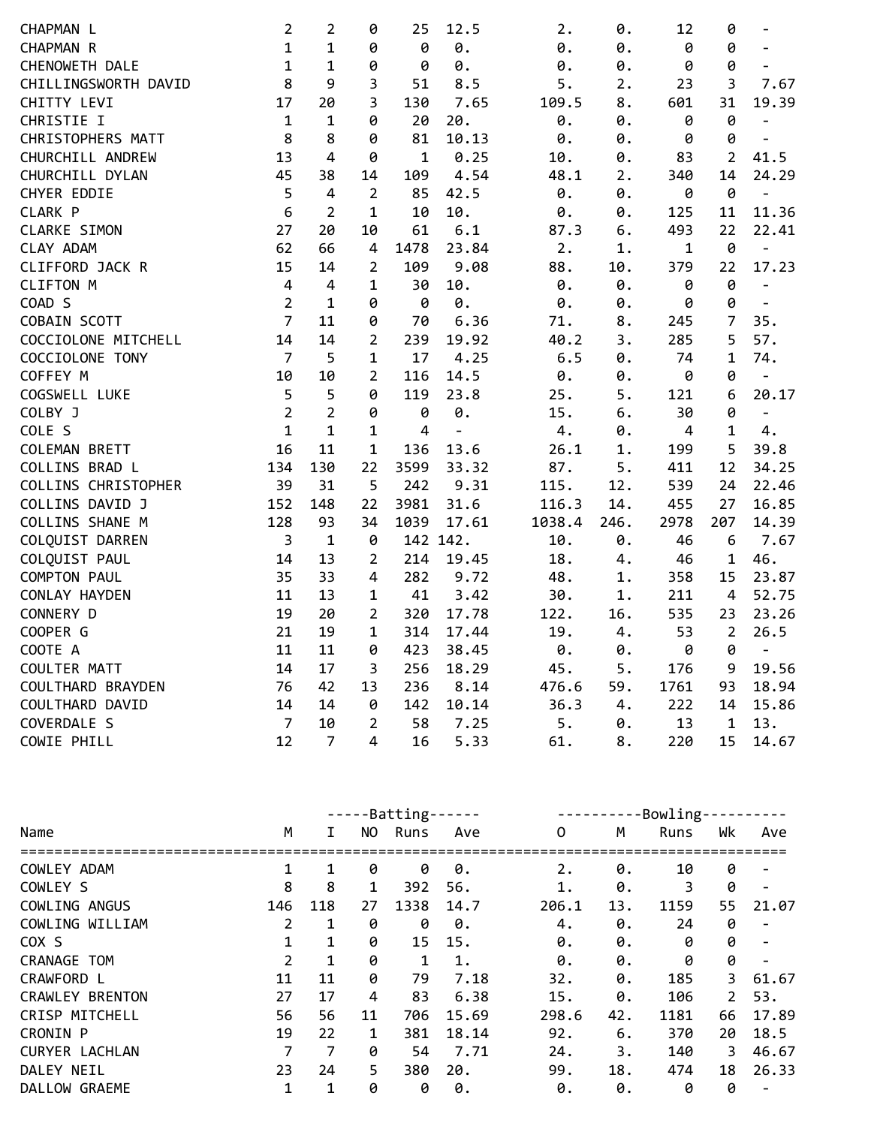| CHAPMAN L            | 2              | 2              | 0                       | 25           | 12.5           | 2.     | 0.   | 12             | 0              | $\overline{\phantom{m}}$ |
|----------------------|----------------|----------------|-------------------------|--------------|----------------|--------|------|----------------|----------------|--------------------------|
| CHAPMAN R            | $\mathbf{1}$   | 1              | 0                       | 0            | 0.             | 0.     | 0.   | 0              | 0              | $\overline{\phantom{a}}$ |
| CHENOWETH DALE       | $\mathbf{1}$   | $\mathbf 1$    | 0                       | 0            | 0.             | 0.     | 0.   | 0              | 0              | $\overline{a}$           |
| CHILLINGSWORTH DAVID | 8              | 9              | 3                       | 51           | 8.5            | 5.     | 2.   | 23             | 3              | 7.67                     |
| CHITTY LEVI          | 17             | 20             | 3                       | 130          | 7.65           | 109.5  | 8.   | 601            | 31             | 19.39                    |
| CHRISTIE I           | $\mathbf{1}$   | $\mathbf{1}$   | 0                       | 20           | 20.            | 0.     | 0.   | 0              | 0              | $\overline{a}$           |
| CHRISTOPHERS MATT    | 8              | 8              | 0                       | 81           | 10.13          | 0.     | 0.   | 0              | 0              | $\qquad \qquad -$        |
| CHURCHILL ANDREW     | 13             | $\overline{4}$ | 0                       | $\mathbf{1}$ | 0.25           | 10.    | 0.   | 83             | $\overline{2}$ | 41.5                     |
| CHURCHILL DYLAN      | 45             | 38             | 14                      | 109          | 4.54           | 48.1   | 2.   | 340            | 14             | 24.29                    |
| CHYER EDDIE          | 5              | 4              | $\overline{2}$          | 85           | 42.5           | 0.     | 0.   | 0              | 0              | $\overline{a}$           |
| CLARK P              | 6              | $\overline{2}$ | $\mathbf{1}$            | 10           | 10.            | 0.     | 0.   | 125            | 11             | 11.36                    |
| <b>CLARKE SIMON</b>  | 27             | 20             | 10                      | 61           | 6.1            | 87.3   | 6.   | 493            | 22             | 22.41                    |
| CLAY ADAM            | 62             | 66             | $\overline{\mathbf{4}}$ | 1478         | 23.84          | 2.     | 1.   | $\mathbf{1}$   | 0              | $\blacksquare$           |
| CLIFFORD JACK R      | 15             | 14             | $\overline{2}$          | 109          | 9.08           | 88.    | 10.  | 379            | 22             | 17.23                    |
| <b>CLIFTON M</b>     | $\overline{4}$ | $\pmb{4}$      | $\mathbf 1$             | 30           | 10.            | 0.     | 0.   | 0              | 0              | $\overline{a}$           |
| COAD S               | $\overline{2}$ | $\mathbf{1}$   | 0                       | 0            | 0.             | 0.     | 0.   | 0              | 0              | $\blacksquare$           |
| COBAIN SCOTT         | $\overline{7}$ | 11             | 0                       | 70           | 6.36           | 71.    | 8.   | 245            | $\overline{7}$ | 35.                      |
| COCCIOLONE MITCHELL  | 14             | 14             | $\overline{2}$          | 239          | 19.92          | 40.2   | 3.   | 285            | 5              | 57.                      |
| COCCIOLONE TONY      | $\overline{7}$ | 5              | $\mathbf{1}$            | 17           | 4.25           | 6.5    | 0.   | 74             | $\mathbf{1}$   | 74.                      |
| COFFEY M             | 10             | 10             | $\overline{2}$          | 116          | 14.5           | 0.     | 0.   | 0              | 0              | $\frac{1}{2}$            |
| COGSWELL LUKE        | 5              | 5              | 0                       | 119          | 23.8           | 25.    | 5.   | 121            | 6              | 20.17                    |
| COLBY J              | $\overline{2}$ | $\overline{2}$ | 0                       | 0            | 0.             | 15.    | 6.   | 30             | 0              | $\blacksquare$           |
| COLE S               | $\mathbf{1}$   | $\mathbf{1}$   | $\mathbf 1$             | 4            | $\blacksquare$ | 4.     | 0.   | $\overline{4}$ | $\mathbf{1}$   | 4.                       |
| COLEMAN BRETT        | 16             | 11             | $\mathbf 1$             | 136          | 13.6           | 26.1   | 1.   | 199            | 5              | 39.8                     |
| COLLINS BRAD L       | 134            | 130            | 22                      | 3599         | 33.32          | 87.    | 5.   | 411            | 12             | 34.25                    |
| COLLINS CHRISTOPHER  | 39             | 31             | 5                       | 242          | 9.31           | 115.   | 12.  | 539            | 24             | 22.46                    |
| COLLINS DAVID J      | 152            | 148            | 22                      | 3981         | 31.6           | 116.3  | 14.  | 455            | 27             | 16.85                    |
| COLLINS SHANE M      | 128            | 93             | 34                      | 1039         | 17.61          | 1038.4 | 246. | 2978           | 207            | 14.39                    |
| COLQUIST DARREN      | 3              | $\mathbf 1$    | 0                       |              | 142 142.       | 10.    | 0.   | 46             | 6              | 7.67                     |
| COLQUIST PAUL        | 14             | 13             | $\overline{2}$          | 214          | 19.45          | 18.    | 4.   | 46             | $\mathbf{1}$   | 46.                      |
| <b>COMPTON PAUL</b>  | 35             | 33             | 4                       | 282          | 9.72           | 48.    | 1.   | 358            | 15             | 23.87                    |
| CONLAY HAYDEN        | 11             | 13             | 1                       | 41           | 3.42           | 30.    | 1.   | 211            | $\overline{4}$ | 52.75                    |
| CONNERY D            | 19             | 20             | $\overline{2}$          | 320          | 17.78          | 122.   | 16.  | 535            | 23             | 23.26                    |
| COOPER G             | 21             | 19             | $\mathbf 1$             | 314          | 17.44          | 19.    | 4.   | 53             | $\overline{2}$ | 26.5                     |
| COOTE A              | 11             | 11             | 0                       | 423          | 38.45          | 0.     | 0.   | 0              | 0              | $\overline{a}$           |
| COULTER MATT         | 14             | 17             | 3                       | 256          | 18.29          | 45.    | 5.   | 176            | 9              | 19.56                    |
| COULTHARD BRAYDEN    | 76             | 42             | 13                      | 236          | 8.14           | 476.6  | 59.  | 1761           | 93             | 18.94                    |
| COULTHARD DAVID      | 14             | 14             | 0                       | 142          | 10.14          | 36.3   | 4.   | 222            | 14             | 15.86                    |
| COVERDALE S          | $\overline{7}$ | 10             | $\overline{2}$          | 58           | 7.25           | 5.     | 0.   | 13             | $\mathbf{1}$   | 13.                      |
| COWIE PHILL          | 12             | $\overline{7}$ | $\overline{4}$          | 16           | 5.33           | 61.    | 8.   | 220            | 15             | 14.67                    |

|                       |                |     |     | -Batting- |       | Bowling <sub>1</sub> |     |      |              |                          |  |
|-----------------------|----------------|-----|-----|-----------|-------|----------------------|-----|------|--------------|--------------------------|--|
| Name                  | M              | Ι.  | NO. | Runs      | Ave   | 0                    | M   | Runs | Wk           | Ave                      |  |
| COWLEY ADAM           |                | 1   | 0   | 0         | 0.    | $\overline{2}$ .     | 0.  | 10   | 0            |                          |  |
| COWLEY S              | 8              | 8   | 1   | 392       | 56.   | 1.                   | 0.  | 3    | 0            |                          |  |
| COWLING ANGUS         | 146            | 118 | 27  | 1338      | 14.7  | 206.1                | 13. | 1159 | 55           | 21.07                    |  |
| COWLING WILLIAM       | 2              | 1   | 0   | 0         | 0.    | 4.                   | 0.  | 24   | 0            |                          |  |
| COX S                 |                | 1   | 0   | 15        | 15.   | 0.                   | 0.  | 0    | 0            |                          |  |
| CRANAGE TOM           | $\overline{2}$ | 1   | 0   | 1         | 1.    | 0.                   | 0.  | 0    | 0            | $\overline{\phantom{a}}$ |  |
| CRAWFORD L            | 11             | 11  | 0   | 79        | 7.18  | 32.                  | 0.  | 185  | 3            | 61.67                    |  |
| CRAWLEY BRENTON       | 27             | 17  | 4   | 83        | 6.38  | 15.                  | 0.  | 106  | $\mathbf{2}$ | 53.                      |  |
| <b>CRISP MITCHELL</b> | 56             | 56  | 11  | 706       | 15.69 | 298.6                | 42. | 1181 | 66           | 17.89                    |  |
| <b>CRONIN P</b>       | 19             | 22  | 1   | 381       | 18.14 | 92.                  | 6.  | 370  | 20           | 18.5                     |  |
| <b>CURYER LACHLAN</b> | $\overline{7}$ | 7   | 0   | 54        | 7.71  | 24.                  | 3.  | 140  | 3.           | 46.67                    |  |
| DALEY NEIL            | 23             | 24  | 5.  | 380       | 20.   | 99.                  | 18. | 474  | 18           | 26.33                    |  |
| DALLOW GRAEME         | 1              | 1   | 0   | 0         | 0.    | 0.                   | 0.  | 0    | 0            |                          |  |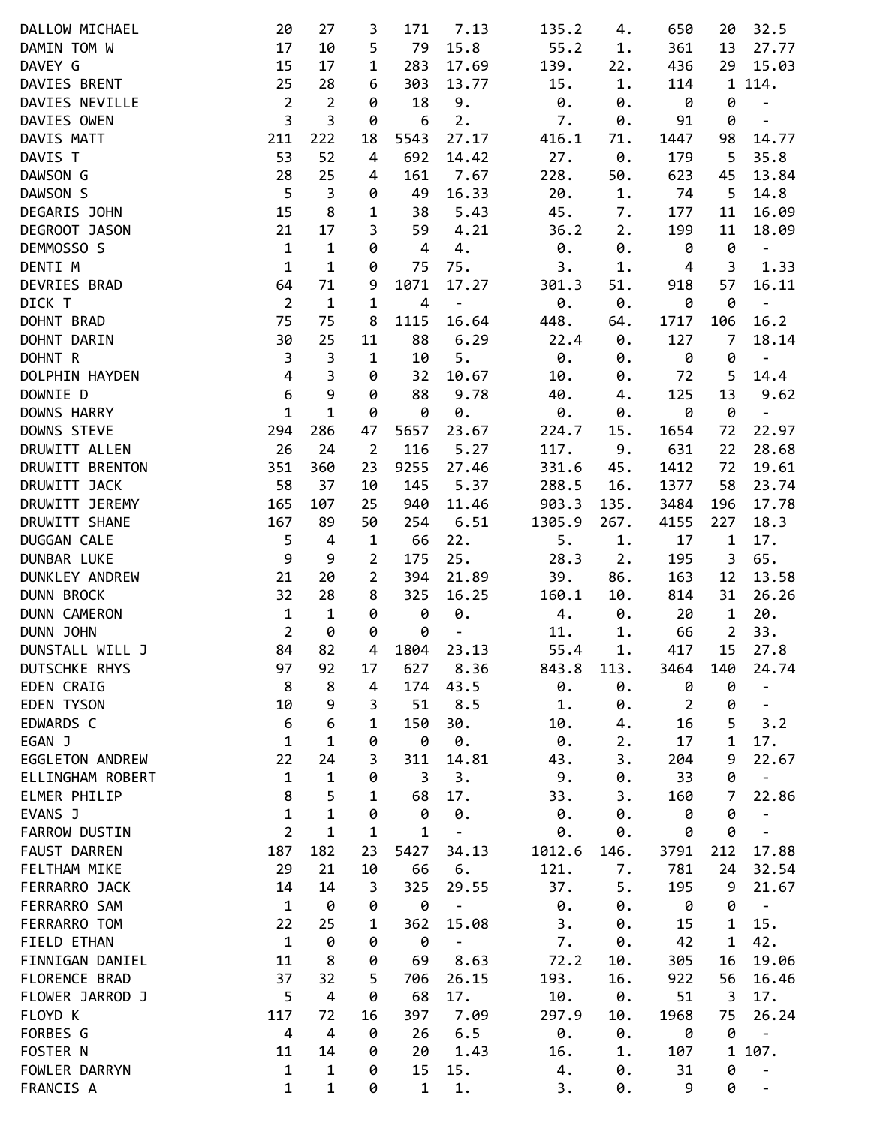| DALLOW MICHAEL       | 20             | 27                      | 3              | 171            | 7.13                         | 135.2      | 4.   | 650            | 20             | 32.5                     |
|----------------------|----------------|-------------------------|----------------|----------------|------------------------------|------------|------|----------------|----------------|--------------------------|
| DAMIN TOM W          | 17             | 10                      | 5              | 79             | 15.8                         | 55.2       | 1.   | 361            | 13             | 27.77                    |
| DAVEY G              | 15             | 17                      |                | 283            |                              |            |      |                |                |                          |
|                      |                |                         | 1              |                | 17.69                        | 139.       | 22.  | 436            | 29             | 15.03                    |
| DAVIES BRENT         | 25             | 28                      | 6              | 303            | 13.77                        | 15.        | 1.   | 114            |                | 1 114.                   |
| DAVIES NEVILLE       | $\overline{2}$ | $\overline{2}$          | 0              | 18             | 9.                           | 0.         | 0.   | 0              | 0              | $\overline{\phantom{a}}$ |
| DAVIES OWEN          | 3              | 3                       | 0              | 6              | 2.                           | 7.         | 0.   | 91             | 0              | $\overline{\phantom{a}}$ |
| DAVIS MATT           | 211            | 222                     | 18             | 5543           | 27.17                        | 416.1      | 71.  | 1447           | 98             | 14.77                    |
| DAVIS T              | 53             | 52                      | 4              | 692            | 14.42                        | 27.        | 0.   | 179            | 5              | 35.8                     |
| DAWSON G             | 28             | 25                      | 4              | 161            | 7.67                         | 228.       | 50.  | 623            | 45             | 13.84                    |
| DAWSON S             | 5              | $\mathsf{3}$            | 0              | 49             | 16.33                        | 20.        | $1.$ | 74             | 5              | 14.8                     |
| DEGARIS JOHN         | 15             | 8                       | 1              | 38             | 5.43                         | 45.        | 7.   | 177            | 11             | 16.09                    |
| DEGROOT JASON        | 21             | 17                      | 3              | 59             | 4.21                         | 36.2       | 2.   | 199            | 11             | 18.09                    |
|                      |                |                         |                |                |                              |            |      |                |                |                          |
| DEMMOSSO S           | $\mathbf 1$    | $\mathbf 1$             | 0              | $\overline{4}$ | 4.                           | $\theta$ . | 0.   | 0              | 0              | $\blacksquare$           |
| DENTI M              | $\mathbf{1}$   | $\mathbf 1$             | 0              | 75             | 75.                          | 3.         | 1.   | 4              | 3              | 1.33                     |
| DEVRIES BRAD         | 64             | 71                      | 9              | 1071           | 17.27                        | 301.3      | 51.  | 918            | 57             | 16.11                    |
| DICK T               | $\overline{2}$ | $\mathbf{1}$            | $\mathbf 1$    | 4              | $\sim$                       | 0.         | 0.   | 0              | 0              | $\overline{\phantom{0}}$ |
| DOHNT BRAD           | 75             | 75                      | 8              | 1115           | 16.64                        | 448.       | 64.  | 1717           | 106            | 16.2                     |
| DOHNT DARIN          | 30             | 25                      | 11             | 88             | 6.29                         | 22.4       | 0.   | 127            | $\overline{7}$ | 18.14                    |
| DOHNT R              | $\overline{3}$ | $\overline{\mathbf{3}}$ | $\mathbf 1$    | 10             | 5.                           | $\theta$ . | 0.   | 0              | 0              | $\overline{\phantom{a}}$ |
| DOLPHIN HAYDEN       | $\overline{4}$ | $\mathsf{3}$            | 0              | 32             | 10.67                        | 10.        | 0.   | 72             | 5              | 14.4                     |
| DOWNIE D             | 6              | 9                       | 0              | 88             | 9.78                         | 40.        | 4.   | 125            | 13             | 9.62                     |
| DOWNS HARRY          | $\mathbf{1}$   | $\mathbf{1}$            |                |                |                              |            |      |                |                |                          |
|                      |                |                         | 0              | 0              | 0.                           | 0.         | 0.   | 0              | 0              | $\overline{\phantom{0}}$ |
| DOWNS STEVE          | 294            | 286                     | 47             | 5657           | 23.67                        | 224.7      | 15.  | 1654           | 72             | 22.97                    |
| DRUWITT ALLEN        | 26             | 24                      | $\overline{2}$ | 116            | 5.27                         | 117.       | 9.   | 631            | 22             | 28.68                    |
| DRUWITT BRENTON      | 351            | 360                     | 23             | 9255           | 27.46                        | 331.6      | 45.  | 1412           | 72             | 19.61                    |
| DRUWITT JACK         | 58             | 37                      | 10             | 145            | 5.37                         | 288.5      | 16.  | 1377           | 58             | 23.74                    |
| DRUWITT JEREMY       | 165            | 107                     | 25             | 940            | 11.46                        | 903.3      | 135. | 3484           | 196            | 17.78                    |
| DRUWITT SHANE        | 167            | 89                      | 50             | 254            | 6.51                         | 1305.9     | 267. | 4155           | 227            | 18.3                     |
| DUGGAN CALE          | 5              | 4                       | 1              | 66             | 22.                          | 5.         | $1.$ | 17             | 1              | 17.                      |
| DUNBAR LUKE          | 9              | 9                       | $\overline{2}$ | 175            | 25.                          | 28.3       | 2.   | 195            | 3              | 65.                      |
| DUNKLEY ANDREW       | 21             | 20                      | $\overline{2}$ | 394            | 21.89                        | 39.        | 86.  | 163            | 12             | 13.58                    |
|                      | 32             | 28                      |                |                | 16.25                        |            |      |                |                |                          |
| <b>DUNN BROCK</b>    |                |                         | 8              | 325            |                              | 160.1      | 10.  | 814            | 31             | 26.26                    |
| <b>DUNN CAMERON</b>  | $\mathbf 1$    | $\mathbf 1$             | 0              | 0              | 0.                           | 4.         | 0.   | 20             | $\mathbf{1}$   | 20.                      |
| DUNN JOHN            | $\overline{2}$ | 0                       | 0              | 0              | $\qquad \qquad \blacksquare$ | 11.        | $1.$ | 66             | $\overline{2}$ | 33.                      |
| DUNSTALL WILL J      | 84             | 82                      | 4              | 1804           | 23.13                        | 55.4       | 1.   | 417            | 15             | 27.8                     |
| DUTSCHKE RHYS        | 97             | 92                      | 17             | 627            | 8.36                         | 843.8      | 113. | 3464           | 140            | 24.74                    |
| <b>EDEN CRAIG</b>    | 8              | 8                       | 4              | 174            | 43.5                         | 0.         | 0.   | 0              | 0              | $\overline{\phantom{0}}$ |
| <b>EDEN TYSON</b>    | 10             | 9                       | 3              | 51             | 8.5                          | 1.         | 0.   | $\overline{2}$ | 0              | -                        |
| EDWARDS C            | 6              | 6                       | 1              | 150            | 30.                          | 10.        | 4.   | 16             | 5              | 3.2                      |
| EGAN J               | $\mathbf{1}$   | $\mathbf{1}$            | 0              | 0              | $\theta$ .                   | 0.         | 2.   | 17             | 1              | 17.                      |
| EGGLETON ANDREW      | 22             | 24                      | 3              | 311            | 14.81                        | 43.        | 3.   | 204            | 9              | 22.67                    |
| ELLINGHAM ROBERT     | $\mathbf{1}$   | $\mathbf 1$             | 0              | 3              | 3.                           | 9.         | 0.   | 33             | 0              | $\overline{\phantom{a}}$ |
|                      |                |                         |                |                |                              |            |      |                |                |                          |
| ELMER PHILIP         | 8              | 5                       | $\mathbf 1$    | 68             | 17.                          | 33.        | 3.   | 160            | 7              | 22.86                    |
| EVANS J              | $\mathbf{1}$   | $\mathbf{1}$            | 0              | 0              | 0.                           | 0.         | 0.   | 0              | 0              | $\overline{\phantom{a}}$ |
| <b>FARROW DUSTIN</b> | $\overline{2}$ | 1                       | 1              | $\mathbf{1}$   | $\qquad \qquad -$            | 0.         | 0.   | 0              | 0              |                          |
| <b>FAUST DARREN</b>  | 187            | 182                     | 23             | 5427           | 34.13                        | 1012.6     | 146. | 3791           | 212            | 17.88                    |
| FELTHAM MIKE         | 29             | 21                      | 10             | 66             | 6.                           | 121.       | 7.   | 781            | 24             | 32.54                    |
| FERRARRO JACK        | 14             | 14                      | 3              | 325            | 29.55                        | 37.        | 5.   | 195            | 9              | 21.67                    |
| FERRARRO SAM         | $\mathbf{1}$   | 0                       | 0              | 0              | $\qquad \qquad -$            | 0.         | 0.   | 0              | 0              | $\overline{\phantom{a}}$ |
| FERRARRO TOM         | 22             | 25                      | 1              | 362            | 15.08                        | 3.         | 0.   | 15             | 1              | 15.                      |
| FIELD ETHAN          | $\mathbf{1}$   | 0                       | 0              | 0              | $\qquad \qquad -$            | 7.         | 0.   | 42             | 1              | 42.                      |
| FINNIGAN DANIEL      | 11             | 8                       | 0              | 69             | 8.63                         | 72.2       | 10.  | 305            | 16             | 19.06                    |
|                      |                |                         |                |                |                              |            |      |                |                |                          |
| FLORENCE BRAD        | 37             | 32                      | 5              | 706            | 26.15                        | 193.       | 16.  | 922            | 56             | 16.46                    |
| FLOWER JARROD J      | 5              | $\overline{4}$          | 0              | 68             | 17.                          | 10.        | 0.   | 51             | 3              | 17.                      |
| FLOYD K              | 117            | 72                      | 16             | 397            | 7.09                         | 297.9      | 10.  | 1968           | 75             | 26.24                    |
| FORBES G             | $\overline{a}$ | $\overline{4}$          | 0              | 26             | 6.5                          | 0.         | 0.   | 0              | 0              | $\frac{1}{2}$            |
| FOSTER N             | 11             | 14                      | 0              | 20             | 1.43                         | 16.        | 1.   | 107            | $\mathbf{1}$   | 107.                     |
| FOWLER DARRYN        | $\mathbf{1}$   | $\mathbf{1}$            | 0              | 15             | 15.                          | 4.         | 0.   | 31             | 0              | $\overline{\phantom{a}}$ |
| FRANCIS A            | $\mathbf{1}$   | $\mathbf{1}$            | 0              | $\mathbf 1$    | 1.                           | 3.         | 0.   | 9              | 0              | $\overline{\phantom{a}}$ |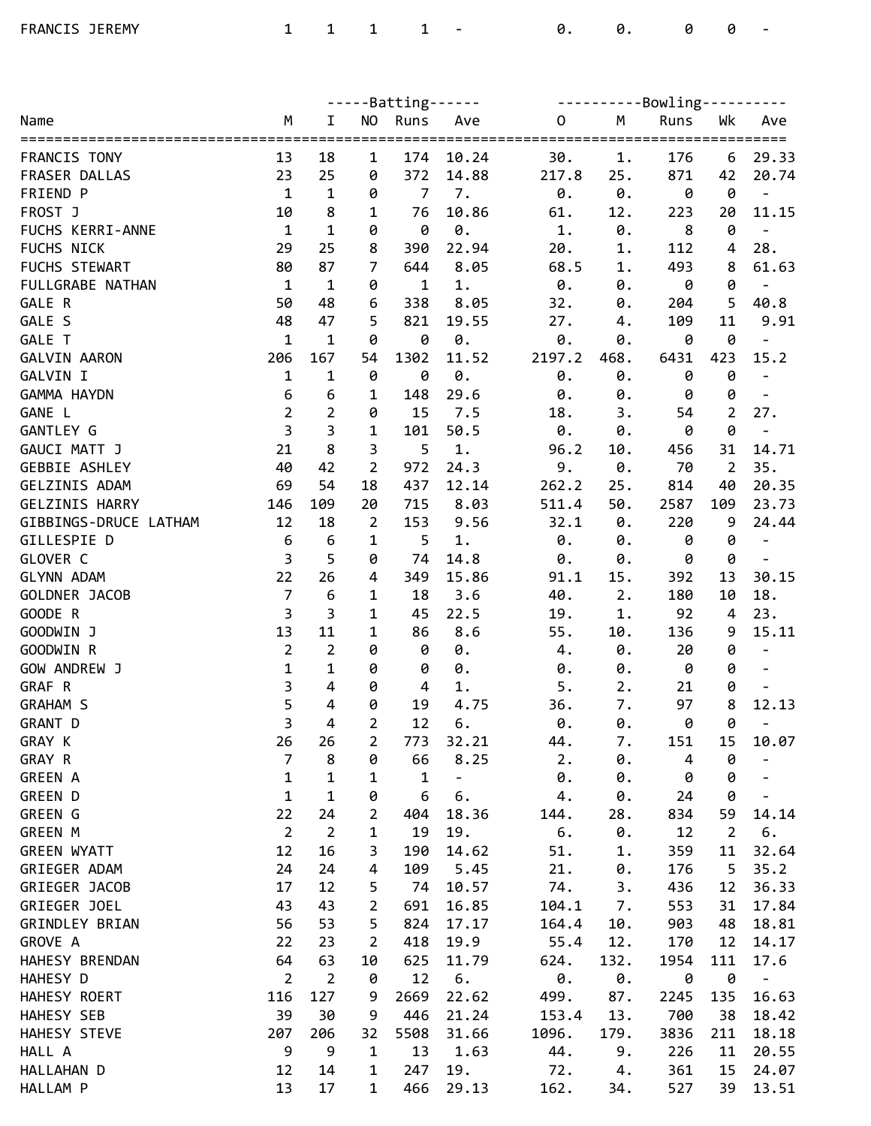|                                   |                         |                   |                     | $---Batting---$     |                              | ----------Bowling---------- |           |                |                |                                   |
|-----------------------------------|-------------------------|-------------------|---------------------|---------------------|------------------------------|-----------------------------|-----------|----------------|----------------|-----------------------------------|
| Name                              | М                       | I                 | <b>NO</b>           | Runs                | Ave                          | $\mathsf O$                 | M         | Runs           | Wk             | Ave                               |
| FRANCIS TONY                      | 13                      | 18                |                     | 174                 | 10.24                        | 30.                         | 1.        | 176            |                | 29.33                             |
| FRASER DALLAS                     |                         |                   | 1                   | 372                 | 14.88                        |                             |           |                | 6              |                                   |
| FRIEND P                          | 23<br>$\mathbf{1}$      | 25<br>$\mathbf 1$ | 0                   | $\overline{7}$      | 7.                           | 217.8<br>0.                 | 25.<br>0. | 871            | 42<br>0        | 20.74                             |
| FROST J                           | 10                      | 8                 | 0<br>1              | 76                  | 10.86                        |                             | 12.       | 0              | 20             | $\overline{\phantom{a}}$<br>11.15 |
| FUCHS KERRI-ANNE                  | $\mathbf{1}$            | $\mathbf{1}$      | 0                   | 0                   | 0.                           | 61.<br>$1.$                 | 0.        | 223<br>8       | $\pmb{\theta}$ | $\overline{\phantom{a}}$          |
|                                   |                         | 25                |                     |                     |                              |                             |           |                |                |                                   |
| FUCHS NICK                        | 29                      | 87                | 8<br>$\overline{7}$ | 390                 | 22.94                        | 20.                         | 1.        | 112            | 4              | 28.                               |
| FUCHS STEWART<br>FULLGRABE NATHAN | 80<br>$\mathbf{1}$      | $\mathbf 1$       |                     | 644<br>$\mathbf{1}$ | 8.05                         | 68.5                        | 1.        | 493<br>0       | 8              | 61.63                             |
| GALE R                            | 50                      | 48                | 0                   |                     | 1.                           | $\theta$ .                  | 0.        |                | 0<br>5         | $\overline{\phantom{a}}$<br>40.8  |
| GALE S                            | 48                      | 47                | 6                   | 338<br>821          | 8.05                         | 32.                         | 0.        | 204            | 11             |                                   |
| GALE T                            | $\mathbf 1$             |                   | 5                   |                     | 19.55                        | 27.                         | 4.        | 109            |                | 9.91                              |
|                                   |                         | $\mathbf 1$       | 0                   | 0                   | $\pmb{\theta}$ .             | $\theta$ .                  | 0.        | 0              | 0              | $\overline{\phantom{a}}$          |
| <b>GALVIN AARON</b>               | 206                     | 167               | 54                  | 1302                | 11.52                        | 2197.2                      | 468.      | 6431           | 423            | 15.2                              |
| GALVIN I                          | $\mathbf{1}$            | $\mathbf{1}$      | 0                   | 0                   | 0.                           | 0.                          | 0.        | 0              | 0              | $\blacksquare$                    |
| GAMMA HAYDN                       | 6<br>$\overline{2}$     | 6                 | 1                   | 148                 | 29.6                         | 0.                          | 0.        | 0              | 0              |                                   |
| GANE L                            | $\overline{\mathbf{3}}$ | $\overline{2}$    | 0                   | 15                  | 7.5                          | 18.                         | 3.        | 54             | $\overline{2}$ | 27.                               |
| GANTLEY G                         |                         | 3<br>8            | 1                   | 101                 | 50.5                         | 0.                          | 0.        | 0              | 0              | $\blacksquare$                    |
| GAUCI MATT J                      | 21                      |                   | 3                   | 5                   | $1.$                         | 96.2                        | 10.       | 456            | 31             | 14.71                             |
| <b>GEBBIE ASHLEY</b>              | 40                      | 42                | $\overline{2}$      | 972                 | 24.3                         | 9.                          | 0.        | 70             | $\overline{2}$ | 35.                               |
| GELZINIS ADAM                     | 69                      | 54                | 18                  | 437                 | 12.14                        | 262.2                       | 25.       | 814            | 40             | 20.35                             |
| GELZINIS HARRY                    | 146                     | 109               | 20                  | 715                 | 8.03                         | 511.4                       | 50.       | 2587           | 109            | 23.73                             |
| GIBBINGS-DRUCE LATHAM             | 12                      | 18                | 2                   | 153                 | 9.56                         | 32.1                        | 0.        | 220            | 9              | 24.44                             |
| GILLESPIE D                       | $\boldsymbol{6}$        | $\boldsymbol{6}$  | $\mathbf{1}$        | 5                   | 1.                           | $\boldsymbol{\theta}$ .     | 0.        | 0              | 0              | $\overline{\phantom{a}}$          |
| GLOVER C                          | $\overline{\mathbf{3}}$ | 5                 | 0                   | 74                  | 14.8                         | 0.                          | 0.        | 0              | 0              | $\overline{\phantom{a}}$          |
| <b>GLYNN ADAM</b>                 | 22                      | 26                | 4                   | 349                 | 15.86                        | 91.1                        | 15.       | 392            | 13             | 30.15                             |
| GOLDNER JACOB                     | $\overline{7}$          | $\boldsymbol{6}$  | 1                   | 18                  | 3.6                          | 40.                         | 2.        | 180            | 10             | 18.                               |
| GOODE R                           | $\overline{3}$          | 3                 | 1                   | 45                  | 22.5                         | 19.                         | 1.        | 92             | 4              | 23.                               |
| GOODWIN J                         | 13                      | 11                | 1                   | 86                  | 8.6                          | 55.                         | 10.       | 136            | 9              | 15.11                             |
| GOODWIN R                         | $\overline{2}$          | $\overline{2}$    | 0                   | 0                   | 0.                           | 4.                          | 0.        | 20             | 0              | $\overline{\phantom{a}}$          |
| GOW ANDREW J                      | $\mathbf{1}$            | $\mathbf{1}$      | 0                   | 0                   | 0.                           | 0.                          | 0.        | 0              | 0              | $\frac{1}{2}$                     |
| GRAF R                            | $\overline{\mathbf{3}}$ | 4                 | 0                   | $\overline{4}$      | 1.                           | 5.                          | 2.        | 21             | 0              | $\overline{\phantom{a}}$          |
| <b>GRAHAM S</b>                   | 5                       | 4                 | 0                   | 19                  | 4.75                         | 36.                         | 7.        | 97             | 8              | 12.13                             |
| GRANT D                           | 3                       | $\overline{4}$    | $\overline{2}$      | 12                  | 6.                           | 0.                          | 0.        | 0              | 0              | $\overline{\phantom{a}}$          |
| GRAY K                            | 26                      | 26                | $\overline{2}$      | 773                 | 32.21                        | 44.                         | 7.        | 151            | 15             | 10.07                             |
| GRAY R                            | $\overline{7}$          | 8                 | 0                   | 66                  | 8.25                         | 2.                          | 0.        | $\overline{4}$ | 0              |                                   |
| <b>GREEN A</b>                    | $\mathbf{1}$            | 1                 | 1                   | 1                   | $\qquad \qquad \blacksquare$ | 0.                          | 0.        | 0              | 0              |                                   |
| <b>GREEN D</b>                    | $\mathbf{1}$            | $\mathbf{1}$      | 0                   | 6                   | 6.                           | 4.                          | 0.        | 24             | 0              |                                   |
| GREEN G                           | 22                      | 24                | 2                   | 404                 | 18.36                        | 144.                        | 28.       | 834            | 59             | 14.14                             |
| <b>GREEN M</b>                    | $\overline{2}$          | $\overline{2}$    | 1                   | 19                  | 19.                          | 6.                          | 0.        | 12             | $\overline{2}$ | 6.                                |
| <b>GREEN WYATT</b>                | 12                      | 16                | 3                   | 190                 | 14.62                        | 51.                         | 1.        | 359            | 11             | 32.64                             |
| GRIEGER ADAM                      | 24                      | 24                | 4                   | 109                 | 5.45                         | 21.                         | 0.        | 176            | 5              | 35.2                              |
| GRIEGER JACOB                     | 17                      | 12                | 5                   | 74                  | 10.57                        | 74.                         | 3.        | 436            | 12             | 36.33                             |
| GRIEGER JOEL                      | 43                      | 43                | $\overline{2}$      | 691                 | 16.85                        | 104.1                       | 7.        | 553            | 31             | 17.84                             |
| GRINDLEY BRIAN                    | 56                      | 53                | 5                   | 824                 | 17.17                        | 164.4                       | 10.       | 903            | 48             | 18.81                             |
| GROVE A                           | 22                      | 23                | $\overline{2}$      | 418                 | 19.9                         | 55.4                        | 12.       | 170            | 12             | 14.17                             |
| HAHESY BRENDAN                    | 64                      | 63                | 10                  | 625                 | 11.79                        | 624.                        | 132.      | 1954           | 111            | 17.6                              |
| HAHESY D                          | $\overline{2}$          | $\overline{2}$    | 0                   | 12                  | 6.                           | 0.                          | 0.        | 0              | 0              | $\qquad \qquad -$                 |
| HAHESY ROERT                      | 116                     | 127               | 9                   | 2669                | 22.62                        | 499.                        | 87.       | 2245           | 135            | 16.63                             |
| HAHESY SEB                        | 39                      | 30                | 9                   | 446                 | 21.24                        | 153.4                       | 13.       | 700            | 38             | 18.42                             |
| HAHESY STEVE                      | 207                     | 206               | 32                  | 5508                | 31.66                        | 1096.                       | 179.      | 3836           | 211            | 18.18                             |
| HALL A                            | 9                       | 9                 | 1                   | 13                  | 1.63                         | 44.                         | 9.        | 226            | 11             | 20.55                             |
| HALLAHAN D                        | 12                      | 14                | 1                   | 247                 | 19.                          | 72.                         | 4.        | 361            | 15             | 24.07                             |
| HALLAM P                          | 13                      | 17                | $\mathbf{1}$        | 466                 | 29.13                        | 162.                        | 34.       | 527            | 39             | 13.51                             |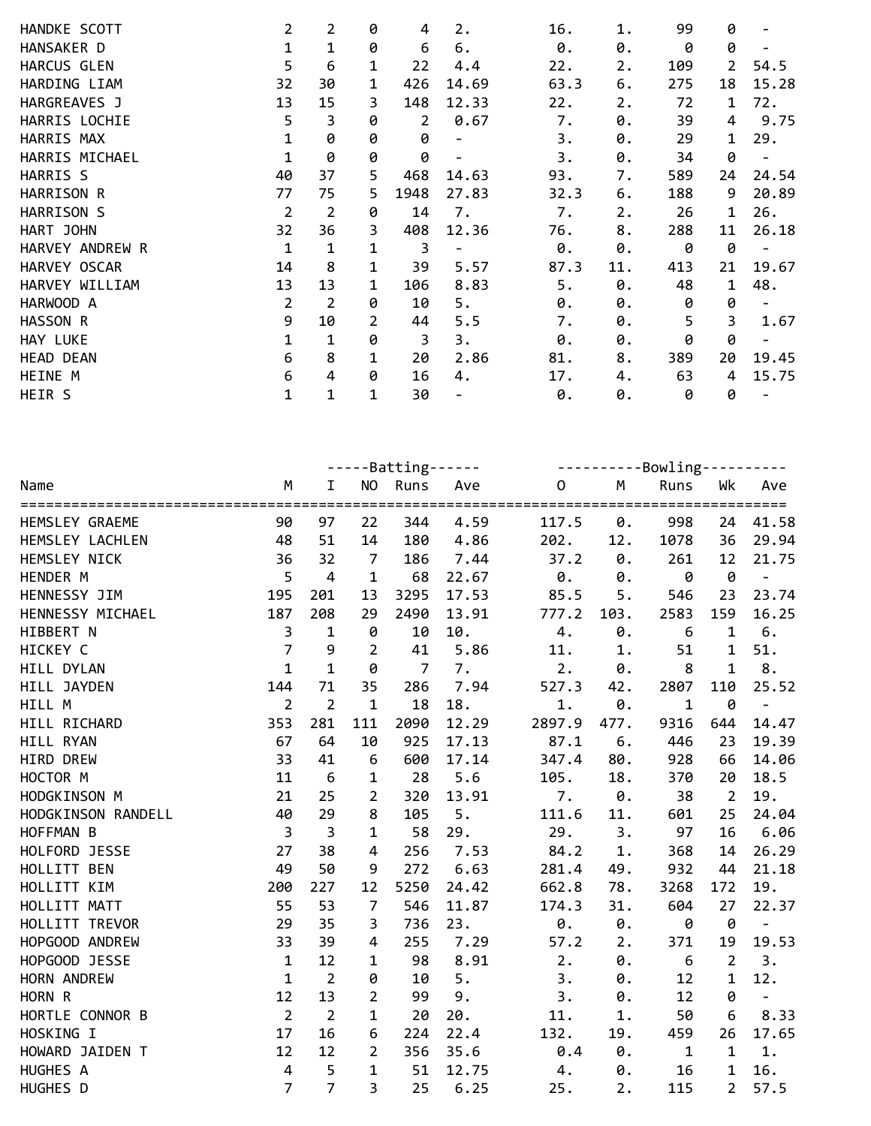| HANDKE SCOTT              | $\overline{2}$     | $\overline{2}$    | 0                | 4               | 2.                       | 16.                                           | 1.       | 99                  | 0                   |                                  |
|---------------------------|--------------------|-------------------|------------------|-----------------|--------------------------|-----------------------------------------------|----------|---------------------|---------------------|----------------------------------|
| HANSAKER D<br>HARCUS GLEN | $\mathbf{1}$<br>5  | $\mathbf{1}$<br>6 | 0                | 6<br>22         | 6.                       | 0.                                            | 0.<br>2. | 0                   | 0<br>$\overline{2}$ | $\overline{\phantom{a}}$<br>54.5 |
| HARDING LIAM              | 32                 | 30                | 1<br>$\mathbf 1$ | 426             | 4.4<br>14.69             | 22.<br>63.3                                   | 6.       | 109<br>275          | 18                  | 15.28                            |
| HARGREAVES J              | 13                 | 15                | 3                | 148             | 12.33                    | 22.                                           | 2.       | 72                  | $\mathbf 1$         | 72.                              |
| HARRIS LOCHIE             | 5                  | 3                 | 0                | 2               | 0.67                     | 7.                                            | 0.       | 39                  | 4                   | 9.75                             |
| HARRIS MAX                | $\mathbf 1$        | 0                 | 0                | 0               | $\overline{\phantom{a}}$ | 3.                                            | 0.       | 29                  | 1                   | 29.                              |
| HARRIS MICHAEL            | $\mathbf 1$        | 0                 | 0                | 0               | $\overline{\phantom{a}}$ | 3.                                            | 0.       | 34                  | 0                   | $\overline{\phantom{a}}$         |
| HARRIS S                  | 40                 | 37                | 5                | 468             | 14.63                    | 93.                                           | 7.       | 589                 | 24                  | 24.54                            |
| HARRISON R                | 77                 | 75                | 5                | 1948            | 27.83                    | 32.3                                          | 6.       | 188                 | 9                   | 20.89                            |
| HARRISON S                | $\overline{2}$     | $\overline{2}$    | 0                | 14              | 7.                       | 7.                                            | 2.       | 26                  | $\mathbf 1$         | 26.                              |
| HART JOHN                 | 32                 | 36                | 3                | 408             | 12.36                    | 76.                                           | 8.       | 288                 | 11                  | 26.18                            |
| HARVEY ANDREW R           | $\mathbf 1$        | $\mathbf{1}$      | 1                | 3               | $\blacksquare$           | 0.                                            | 0.       | 0                   | 0                   |                                  |
| HARVEY OSCAR              | 14                 | 8                 | 1                | 39              | 5.57                     | 87.3                                          | 11.      | 413                 | 21                  | 19.67                            |
| HARVEY WILLIAM            | 13                 | 13                | 1                | 106             | 8.83                     | 5.                                            | 0.       | 48                  | $\mathbf 1$         | 48.                              |
| HARWOOD A                 | $\overline{2}$     | $\overline{2}$    | 0                | 10              | 5.                       | 0.                                            | 0.       | 0                   | 0                   | $\overline{\phantom{a}}$         |
| HASSON R                  | 9                  | 10                | $\overline{2}$   | 44              | 5.5                      | 7.                                            | 0.       | 5                   | 3                   | 1.67                             |
| HAY LUKE                  | $\mathbf{1}$       | $\mathbf{1}$      | 0                | $\overline{3}$  | 3.                       | 0.                                            | 0.       | 0                   | 0                   |                                  |
| <b>HEAD DEAN</b>          | 6                  | 8                 | 1                | 20              | 2.86                     | 81.                                           | 8.       | 389                 | 20                  | 19.45                            |
| HEINE M                   | 6                  | $\overline{4}$    | 0                | 16              | 4.                       | 17.                                           | 4.       | 63                  | 4                   | 15.75                            |
| HEIR S                    | $\mathbf{1}$       | $\mathbf{1}$      | 1                | 30              | $\overline{\phantom{a}}$ | 0.                                            | 0.       | 0                   | 0                   |                                  |
|                           |                    |                   |                  |                 |                          |                                               |          |                     |                     |                                  |
|                           |                    |                   |                  |                 |                          |                                               |          |                     |                     |                                  |
|                           |                    |                   |                  | $---Batting---$ |                          |                                               |          | ----------Bowling-- |                     |                                  |
| Name                      | M<br>============= | I                 | NO               | Runs<br>=====   | Ave                      | $\mathsf{O}\xspace$<br>====================== | M        | Runs                | Wk                  | Ave<br>=============             |
| HEMSLEY GRAEME            | 90                 | 97                | 22               | 344             | 4.59                     | 117.5                                         | 0.       | 998                 | 24                  | 41.58                            |
| HEMSLEY LACHLEN           | 48                 | 51                | 14               | 180             | 4.86                     | 202.                                          | 12.      | 1078                | 36                  | 29.94                            |
| HEMSLEY NICK              | 36                 | 32                | $\overline{7}$   | 186             | 7.44                     | 37.2                                          | 0.       | 261                 | 12                  | 21.75                            |
| HENDER M                  | 5                  | $\overline{4}$    | $\mathbf{1}$     | 68              | 22.67                    | 0.                                            | 0.       | 0                   | 0                   | $\blacksquare$                   |
| HENNESSY JIM              | 195                | 201               | 13               | 3295            | 17.53                    | 85.5                                          | 5.       | 546                 | 23                  | 23.74                            |
| HENNESSY MICHAEL          | 187                | 208               | 29               | 2490            | 13.91                    | 777.2                                         | 103.     | 2583                | 159                 | 16.25                            |
| HIBBERT N                 | 3                  | $\mathbf{1}$      | 0                | 10              | 10.                      | 4.                                            | 0.       | 6                   | $\mathbf 1$         | 6.                               |
| HICKEY C                  | $\overline{7}$     | 9                 | 2                | 41              | 5.86                     | 11.                                           | 1.       | 51                  | $\mathbf{1}$        | 51.                              |
| HILL DYLAN                | $\mathbf{1}$       | $\mathbf{1}$      | 0                | $\overline{7}$  | 7.                       | 2.                                            | 0.       | 8                   | $\mathbf{1}$        | 8.                               |
| HILL JAYDEN               | 144                | 71                | 35               | 286             | 7.94                     | 527.3                                         | 42.      | 2807                | 110                 | 25.52                            |
| HILL M                    | $\overline{2}$     | $\overline{2}$    | $\mathbf{1}$     | 18              | 18.                      | 1.                                            | 0.       | $\mathbf 1$         | 0                   | $\blacksquare$                   |
| HILL RICHARD              | 353                | 281               | 111              | 2090            | 12.29                    | 2897.9                                        | 477.     | 9316                | 644                 | 14.47                            |
| HILL RYAN                 | 67                 | 64                | 10               | 925             | 17.13                    | 87.1                                          | 6.       | 446                 | 23                  | 19.39                            |
| HIRD DREW                 | 33                 | 41                | 6                | 600             | 17.14                    | 347.4                                         | 80.      | 928                 | 66                  | 14.06                            |
| HOCTOR M                  | 11                 | 6                 | $\mathbf{1}$     | 28              | 5.6                      | 105.                                          | 18.      | 370                 | 20                  | 18.5                             |
| HODGKINSON M              | 21                 | 25                | $\overline{2}$   | 320             | 13.91                    | 7.                                            | 0.       | 38                  | $\overline{2}$      | 19.                              |
| HODGKINSON RANDELL        | 40                 | 29                | 8                | 105             | 5.                       | 111.6                                         | 11.      | 601                 | 25                  | 24.04                            |
| HOFFMAN B                 | $\overline{3}$     | $\overline{3}$    | $\mathbf{1}$     | 58              | 29.                      | 29.                                           | 3.       | 97                  | 16                  | 6.06                             |
| HOLFORD JESSE             | 27                 | 38                | 4                | 256             | 7.53                     | 84.2                                          | 1.       | 368                 | 14                  | 26.29                            |
| HOLLITT BEN               | 49                 | 50                | 9                | 272             | 6.63                     | 281.4                                         | 49.      | 932                 | 44                  | 21.18                            |
| HOLLITT KIM               | 200                | 227               | 12               | 5250            | 24.42                    | 662.8                                         | 78.      | 3268                | 172                 | 19.                              |
| HOLLITT MATT              | 55                 | 53                | $\overline{7}$   | 546             | 11.87                    | 174.3                                         | 31.      | 604                 | 27                  | 22.37                            |
| HOLLITT TREVOR            | 29                 | 35                | 3                | 736             | 23.                      | 0.                                            | 0.       | 0                   | 0                   | $\blacksquare$                   |
| HOPGOOD ANDREW            | 33                 | 39                | 4                | 255             | 7.29                     | 57.2                                          | 2.       | 371                 | 19                  | 19.53                            |
| HOPGOOD JESSE             | $\mathbf 1$        | 12                | $\mathbf 1$      | 98              | 8.91                     | 2.                                            | 0.       | 6                   | $\overline{2}$      | 3.                               |
| HORN ANDREW               | $\mathbf{1}$       | $\overline{2}$    | 0                | 10              | 5.                       | 3.                                            | 0.       | 12                  | $\mathbf{1}$        | 12.                              |
| HORN R                    | 12                 | 13                | $\overline{2}$   | 99              | 9.                       | 3.                                            | 0.       | 12                  | 0                   | $\pm$                            |
| HORTLE CONNOR B           | $\overline{2}$     | $\overline{2}$    | $\mathbf{1}$     | 20              | 20.                      | 11.                                           | 1.       | 50                  | 6                   | 8.33                             |
| HOSKING I                 | 17                 | 16                | 6                | 224             | 22.4                     | 132.                                          | 19.      | 459                 | 26                  | 17.65                            |
| HOWARD JAIDEN T           | 12                 | 12                | $\overline{2}$   | 356             | 35.6                     | 0.4                                           | 0.       | $\mathbf{1}$        | $\mathbf{1}$        | 1.                               |
| HUGHES A                  | 4                  | 5                 | $\mathbf{1}$     | 51              | 12.75                    | 4.                                            | 0.       | 16                  | $\mathbf 1$         | 16.                              |
| HUGHES D                  | $\overline{7}$     | $\overline{7}$    | 3                | 25              | 6.25                     | 25.                                           | 2.       | 115                 | $2^{\circ}$         | 57.5                             |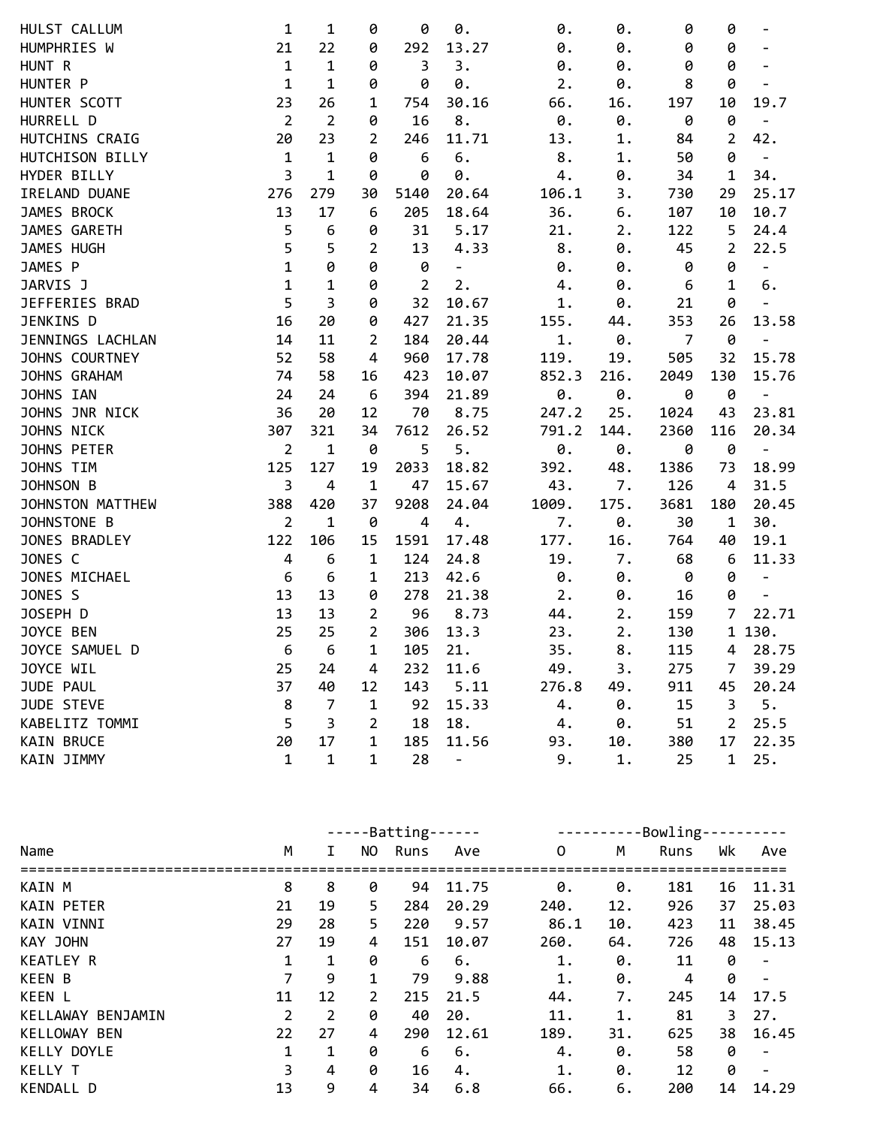| HULST CALLUM      | 1              | 1              | 0              | 0              | 0.                | 0.    | 0.   | 0              | 0              | $\overline{\phantom{a}}$     |
|-------------------|----------------|----------------|----------------|----------------|-------------------|-------|------|----------------|----------------|------------------------------|
| HUMPHRIES W       | 21             | 22             | 0              | 292            | 13.27             | 0.    | 0.   | 0              | 0              | $\qquad \qquad \blacksquare$ |
| HUNT R            | $\mathbf 1$    | $\mathbf 1$    | 0              | 3              | 3.                | 0.    | 0.   | 0              | 0              |                              |
| HUNTER P          | $\mathbf 1$    | $\mathbf 1$    | 0              | 0              | 0.                | 2.    | 0.   | 8              | 0              |                              |
| HUNTER SCOTT      | 23             | 26             | 1              | 754            | 30.16             | 66.   | 16.  | 197            | 10             | 19.7                         |
| HURRELL D         | $\overline{2}$ | $\overline{2}$ | 0              | 16             | 8.                | 0.    | 0.   | 0              | 0              | $\overline{\phantom{a}}$     |
| HUTCHINS CRAIG    | 20             | 23             | 2              | 246            | 11.71             | 13.   | 1.   | 84             | $\overline{2}$ | 42.                          |
| HUTCHISON BILLY   | $\mathbf{1}$   | $\mathbf 1$    | 0              | 6              | 6.                | 8.    | 1.   | 50             | 0              | $\overline{\phantom{a}}$     |
| HYDER BILLY       | 3              | $\mathbf{1}$   | 0              | 0              | 0.                | 4.    | 0.   | 34             | $\mathbf 1$    | 34.                          |
| IRELAND DUANE     | 276            | 279            | 30             | 5140           | 20.64             | 106.1 | 3.   | 730            | 29             | 25.17                        |
| JAMES BROCK       | 13             | 17             | 6              | 205            | 18.64             | 36.   | 6.   | 107            | 10             | 10.7                         |
| JAMES GARETH      | 5              | 6              | 0              | 31             | 5.17              | 21.   | 2.   | 122            | 5              | 24.4                         |
| JAMES HUGH        | 5              | 5              | $\overline{2}$ | 13             | 4.33              | 8.    | 0.   | 45             | $\overline{2}$ | 22.5                         |
| JAMES P           | $\mathbf{1}$   | 0              | 0              | 0              | $\qquad \qquad -$ | 0.    | 0.   | 0              | 0              | $\qquad \qquad -$            |
| JARVIS J          | $\mathbf{1}$   | 1              | 0              | $\overline{2}$ | 2.                | 4.    | 0.   | 6              | $\mathbf{1}$   | 6.                           |
| JEFFERIES BRAD    | 5              | 3              | 0              | 32             | 10.67             | 1.    | 0.   | 21             | 0              |                              |
| JENKINS D         | 16             | 20             | 0              | 427            | 21.35             | 155.  | 44.  | 353            | 26             | 13.58                        |
| JENNINGS LACHLAN  | 14             | 11             | 2              | 184            | 20.44             | 1.    | 0.   | $\overline{7}$ | 0              | $\blacksquare$               |
| JOHNS COURTNEY    | 52             | 58             | $\overline{4}$ | 960            | 17.78             | 119.  | 19.  | 505            | 32             | 15.78                        |
| JOHNS GRAHAM      | 74             | 58             | 16             | 423            | 10.07             | 852.3 | 216. | 2049           | 130            | 15.76                        |
| JOHNS IAN         | 24             | 24             | 6              | 394            | 21.89             | 0.    | 0.   | 0              | 0              | $\overline{a}$               |
| JOHNS JNR NICK    | 36             | 20             | 12             | 70             | 8.75              | 247.2 | 25.  | 1024           | 43             | 23.81                        |
| JOHNS NICK        | 307            | 321            | 34             | 7612           | 26.52             | 791.2 | 144. | 2360           | 116            | 20.34                        |
| JOHNS PETER       | $\overline{2}$ | $\mathbf{1}$   | 0              | 5              | 5.                | 0.    | 0.   | 0              | 0              | $\blacksquare$               |
| JOHNS TIM         | 125            | 127            | 19             | 2033           | 18.82             | 392.  | 48.  | 1386           | 73             | 18.99                        |
| JOHNSON B         | $\overline{3}$ | $\overline{4}$ | $\mathbf{1}$   | 47             | 15.67             | 43.   | 7.   | 126            | 4              | 31.5                         |
| JOHNSTON MATTHEW  | 388            | 420            | 37             | 9208           | 24.04             | 1009. | 175. | 3681           | 180            | 20.45                        |
| JOHNSTONE B       | $\overline{2}$ | 1              | 0              | $\overline{4}$ | 4.                | 7.    | 0.   | 30             | $\mathbf{1}$   | 30.                          |
| JONES BRADLEY     | 122            | 106            | 15             | 1591           | 17.48             | 177.  | 16.  | 764            | 40             | 19.1                         |
| JONES C           | $\overline{a}$ | 6              | 1              | 124            | 24.8              | 19.   | 7.   | 68             | 6              | 11.33                        |
| JONES MICHAEL     | 6              | 6              | 1              | 213            | 42.6              | 0.    | 0.   | 0              | 0              | $\blacksquare$               |
| JONES S           | 13             | 13             | 0              | 278            | 21.38             | 2.    | 0.   | 16             | 0              | $\blacksquare$               |
| JOSEPH D          | 13             | 13             | $\overline{2}$ | 96             | 8.73              | 44.   | 2.   | 159            | $\overline{7}$ | 22.71                        |
| JOYCE BEN         | 25             | 25             | $\overline{2}$ | 306            | 13.3              | 23.   | 2.   | 130            |                | 1 130.                       |
| JOYCE SAMUEL D    | 6              | 6              | 1              | 105            | 21.               | 35.   | 8.   | 115            | 4              | 28.75                        |
| JOYCE WIL         | 25             | 24             | 4              | 232            | 11.6              | 49.   | 3.   | 275            | 7              | 39.29                        |
| JUDE PAUL         | 37             | 40             | 12             | 143            | 5.11              | 276.8 | 49.  | 911            | 45             | 20.24                        |
| <b>JUDE STEVE</b> | 8              | $\overline{7}$ | $\mathbf 1$    | 92             | 15.33             | 4.    | 0.   | 15             | 3              | 5.                           |
| KABELITZ TOMMI    | 5              | 3              | $\overline{2}$ | 18             | 18.               | 4.    | 0.   | 51             | $\overline{2}$ | 25.5                         |
| <b>KAIN BRUCE</b> | 20             | 17             | $\mathbf{1}$   | 185            | 11.56             | 93.   | 10.  | 380            | 17             | 22.35                        |
| KAIN JIMMY        | $\mathbf{1}$   | $\mathbf{1}$   | $\mathbf{1}$   | 28             | $\qquad \qquad -$ | 9.    | 1.   | 25             | $\mathbf{1}$   | 25.                          |
|                   |                |                |                |                |                   |       |      |                |                |                              |

|                      |                |    |                | -Batting- |       | Bowling-<br>-------- |     |      |    |       |  |
|----------------------|----------------|----|----------------|-----------|-------|----------------------|-----|------|----|-------|--|
| Name                 | M              | I. | NO.            | Runs      | Ave   | 0                    | М   | Runs | Wk | Ave   |  |
| KAIN M               | 8              | 8  | 0              | 94        | 11.75 | 0.                   | 0.  | 181  | 16 | 11.31 |  |
| <b>KAIN PETER</b>    | 21             | 19 | 5              | 284       | 20.29 | 240.                 | 12. | 926  | 37 | 25.03 |  |
| <b>KAIN VINNI</b>    | 29             | 28 | 5.             | 220       | 9.57  | 86.1                 | 10. | 423  | 11 | 38.45 |  |
| KAY JOHN             | 27             | 19 | 4              | 151       | 10.07 | 260.                 | 64. | 726  | 48 | 15.13 |  |
| <b>KEATLEY R</b>     | 1              | 1  | 0              | 6         | 6.    | 1.                   | 0.  | 11   | 0  |       |  |
| <b>KEEN B</b>        | 7              | 9  | 1              | 79        | 9.88  | 1.                   | 0.  | 4    | 0  |       |  |
| <b>KEEN L</b>        | 11             | 12 | $\overline{2}$ | 215       | 21.5  | 44.                  | 7.  | 245  | 14 | 17.5  |  |
| KELLAWAY<br>BENJAMIN | $\overline{2}$ | 2  | 0              | 40        | 20.   | 11.                  | 1.  | 81   | 3  | 27.   |  |
| KELLOWAY BEN         | 22             | 27 | 4              | 290       | 12.61 | 189.                 | 31. | 625  | 38 | 16.45 |  |
| KELLY DOYLE          | 1              | 1  | 0              | 6         | 6.    | 4.                   | 0.  | 58   | 0  |       |  |
| <b>KELLY T</b>       | 3              | 4  | 0              | 16        | 4.    | 1.                   | 0.  | 12   | 0  |       |  |
| KENDALL D            | 13             | 9  | 4              | 34        | 6.8   | 66.                  | 6.  | 200  | 14 | 14.29 |  |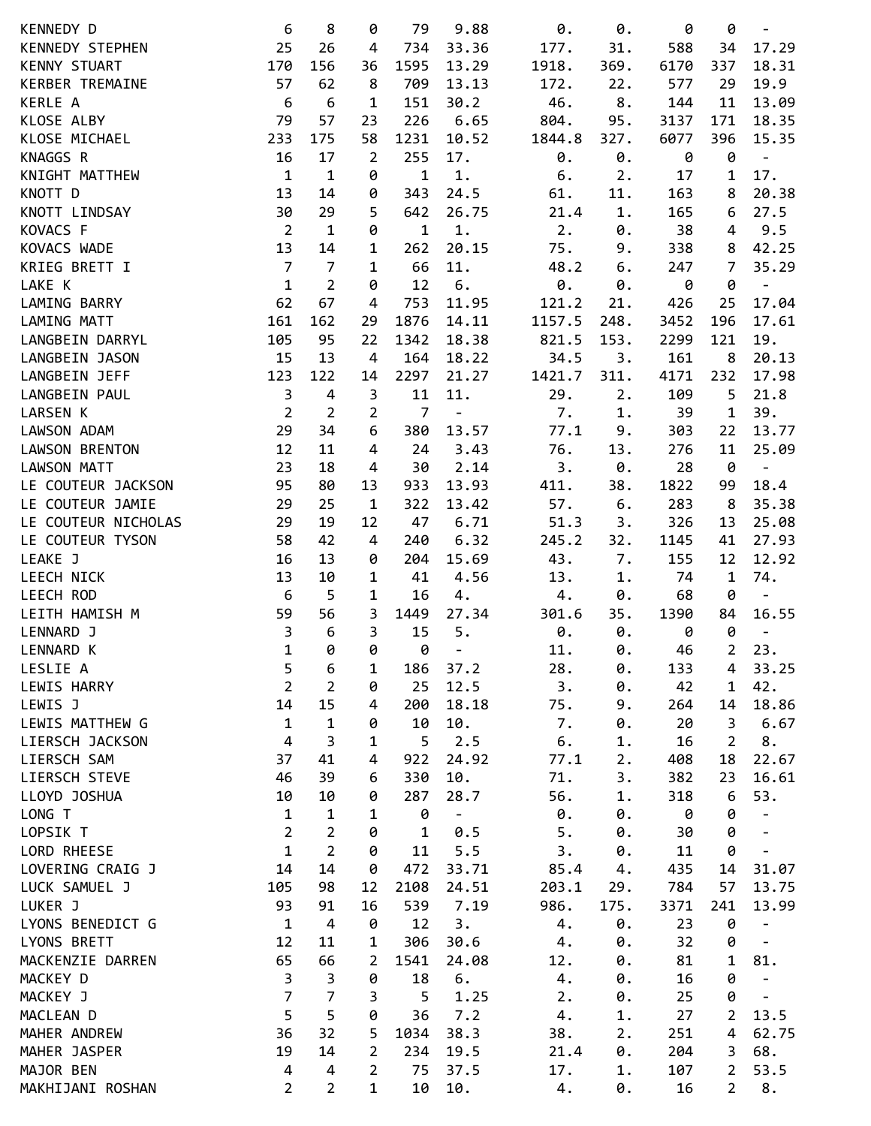| KENNEDY D           | 6              | 8              | 0              | 79             | 9.88                     | 0.     | 0.    | 0    | 0              | $\qquad \qquad -$        |
|---------------------|----------------|----------------|----------------|----------------|--------------------------|--------|-------|------|----------------|--------------------------|
| KENNEDY STEPHEN     | 25             | 26             | 4              | 734            | 33.36                    | 177.   | 31.   | 588  | 34             | 17.29                    |
| KENNY STUART        | 170            | 156            | 36             | 1595           | 13.29                    | 1918.  | 369.  | 6170 | 337            | 18.31                    |
| KERBER TREMAINE     | 57             | 62             | 8              | 709            | 13.13                    | 172.   | 22.   | 577  | 29             | 19.9                     |
| KERLE A             | 6              | 6              | $\mathbf{1}$   | 151            | 30.2                     | 46.    | 8.    | 144  | 11             | 13.09                    |
| KLOSE ALBY          | 79             | 57             | 23             | 226            | 6.65                     | 804.   | 95.   | 3137 | 171            | 18.35                    |
| KLOSE MICHAEL       | 233            | 175            | 58             | 1231           | 10.52                    | 1844.8 | 327.  | 6077 | 396            | 15.35                    |
| KNAGGS R            | 16             | 17             | $\overline{2}$ | 255            | 17.                      | 0.     | 0.    | 0    | 0              | $\overline{\phantom{0}}$ |
|                     |                |                |                |                |                          |        |       |      |                |                          |
| KNIGHT MATTHEW      | $\mathbf{1}$   | $\mathbf{1}$   | 0              | $\mathbf{1}$   | $1.$                     | 6.     | 2.    | 17   | 1              | 17.                      |
| KNOTT D             | 13             | 14             | 0              | 343            | 24.5                     | 61.    | 11.   | 163  | 8              | 20.38                    |
| KNOTT LINDSAY       | 30             | 29             | 5              | 642            | 26.75                    | 21.4   | 1.    | 165  | 6              | 27.5                     |
| KOVACS F            | $\overline{2}$ | $\mathbf{1}$   | 0              | $\mathbf{1}$   | $1.$                     | 2.     | 0.    | 38   | 4              | 9.5                      |
| KOVACS WADE         | 13             | 14             | 1              | 262            | 20.15                    | 75.    | 9.    | 338  | 8              | 42.25                    |
| KRIEG BRETT I       | $\overline{7}$ | $\overline{7}$ | $\mathbf 1$    | 66             | 11.                      | 48.2   | 6.    | 247  | 7              | 35.29                    |
| LAKE K              | $\mathbf{1}$   | $\overline{2}$ | 0              | 12             | 6.                       | 0.     | 0.    | 0    | 0              |                          |
| LAMING BARRY        | 62             | 67             | 4              | 753            | 11.95                    | 121.2  | 21.   | 426  | 25             | 17.04                    |
| LAMING MATT         | 161            | 162            | 29             | 1876           | 14.11                    | 1157.5 | 248.  | 3452 | 196            | 17.61                    |
| LANGBEIN DARRYL     | 105            | 95             | 22             | 1342           | 18.38                    | 821.5  | 153.  | 2299 | 121            | 19.                      |
| LANGBEIN JASON      | 15             | 13             | $\overline{4}$ | 164            | 18.22                    | 34.5   | 3.    | 161  | 8              | 20.13                    |
| LANGBEIN JEFF       | 123            | 122            | 14             | 2297           | 21.27                    | 1421.7 | 311.  | 4171 | 232            | 17.98                    |
| LANGBEIN PAUL       | 3              | $\overline{4}$ | 3              | 11             | 11.                      | 29.    | 2.    | 109  | 5              | 21.8                     |
| LARSEN K            | $\overline{2}$ | $\overline{2}$ | 2              | $\overline{7}$ | $\overline{a}$           | 7.     | 1.    | 39   | $\mathbf 1$    | 39.                      |
| LAWSON ADAM         | 29             | 34             | 6              | 380            | 13.57                    | 77.1   | 9.    | 303  | 22             | 13.77                    |
| LAWSON BRENTON      | 12             | 11             | 4              | 24             | 3.43                     | 76.    | 13.   | 276  | 11             | 25.09                    |
| LAWSON MATT         | 23             | 18             | 4              | 30             | 2.14                     | 3.     | 0.    | 28   | 0              | $\overline{\phantom{0}}$ |
| LE COUTEUR JACKSON  | 95             | 80             | 13             | 933            | 13.93                    | 411.   | 38.   | 1822 | 99             | 18.4                     |
| LE COUTEUR JAMIE    | 29             | 25             | $\mathbf 1$    | 322            | 13.42                    | 57.    | 6.    | 283  | 8              | 35.38                    |
| LE COUTEUR NICHOLAS | 29             | 19             | 12             | 47             | 6.71                     | 51.3   | 3.    | 326  | 13             | 25.08                    |
| LE COUTEUR TYSON    | 58             | 42             | 4              | 240            | 6.32                     | 245.2  | 32.   | 1145 | 41             | 27.93                    |
| LEAKE J             | 16             | 13             | 0              | 204            | 15.69                    | 43.    | 7.    | 155  | 12             | 12.92                    |
| <b>LEECH NICK</b>   | 13             | 10             | 1              | 41             | 4.56                     | 13.    | 1.    | 74   | $\mathbf 1$    | 74.                      |
| LEECH ROD           |                |                |                |                |                          |        |       |      |                |                          |
|                     | 6              | 5              | 1              | 16             | 4.                       | 4.     | 0.    | 68   | 0              | $\overline{\phantom{a}}$ |
| LEITH HAMISH M      | 59             | 56             | 3              | 1449           | 27.34                    | 301.6  | 35.   | 1390 | 84             | 16.55                    |
| LENNARD J           | 3              | 6              | 3              | 15             | 5.                       | 0.     | 0.    | 0    | 0              | $\overline{\phantom{a}}$ |
| <b>LENNARD K</b>    | $\mathbf{1}$   | 0              | 0              | 0              | $\overline{\phantom{0}}$ | 11.    | 0.    | 46   | $\overline{2}$ | 23.                      |
| LESLIE A            | 5              | 6              | 1              | 186            | 37.2                     | 28.    | 0.    | 133  | 4              | 33.25                    |
| LEWIS HARRY         | $\overline{2}$ | $\overline{2}$ | 0              | 25             | 12.5                     | 3.     | 0.    | 42   | 1              | 42.                      |
| LEWIS J             | 14             | 15             | 4              | 200            | 18.18                    | 75.    | 9.    | 264  | 14             | 18.86                    |
| LEWIS MATTHEW G     | $\mathbf{1}$   | $\mathbf{1}$   | 0              | 10             | 10.                      | 7.     | 0.    | 20   | 3              | 6.67                     |
| LIERSCH JACKSON     | $\overline{4}$ | 3              | 1              | 5              | 2.5                      | 6.     | 1.    | 16   | 2              | 8.                       |
| LIERSCH SAM         | 37             | 41             | 4              | 922            | 24.92                    | 77.1   | 2.    | 408  | 18             | 22.67                    |
| LIERSCH STEVE       | 46             | 39             | 6              | 330            | 10.                      | 71.    | 3.    | 382  | 23             | 16.61                    |
| LLOYD JOSHUA        | 10             | 10             | 0              | 287            | 28.7                     | 56.    | 1.    | 318  | 6              | 53.                      |
| LONG T              | $\mathbf{1}$   | $\mathbf{1}$   | 1              | 0              | -                        | 0.     | 0.    | 0    | 0              |                          |
| LOPSIK T            | $\overline{2}$ | $\overline{2}$ | 0              | $\mathbf{1}$   | 0.5                      | 5.     | 0.    | 30   | 0              | $\overline{\phantom{a}}$ |
| LORD RHEESE         | $\mathbf{1}$   | $\overline{2}$ | 0              | 11             | 5.5                      | 3.     | 0.    | 11   | 0              | -                        |
| LOVERING CRAIG J    | 14             | 14             | 0              | 472            | 33.71                    | 85.4   | 4.    | 435  | 14             | 31.07                    |
| LUCK SAMUEL J       | 105            | 98             | 12             | 2108           | 24.51                    | 203.1  | 29.   | 784  | 57             | 13.75                    |
| LUKER J             | 93             | 91             | 16             | 539            | 7.19                     | 986.   | 175.  | 3371 | 241            | 13.99                    |
| LYONS BENEDICT G    | $\mathbf 1$    | $\overline{4}$ | 0              | 12             | 3.                       | 4.     | 0.    | 23   | 0              | $\overline{\phantom{a}}$ |
| LYONS BRETT         | 12             | 11             | 1              | 306            | 30.6                     | 4.     | 0.    | 32   | 0              |                          |
| MACKENZIE DARREN    | 65             | 66             | 2              | 1541           | 24.08                    | 12.    | 0.    | 81   | 1              | 81.                      |
| MACKEY D            | 3              | 3              | 0              | 18             | 6.                       | 4.     | 0.    | 16   | 0              | $\blacksquare$           |
| MACKEY J            | $\overline{7}$ | $\overline{7}$ | 3              | 5              | 1.25                     | 2.     | 0.    | 25   | 0              | $\overline{\phantom{0}}$ |
|                     |                |                |                |                | 7.2                      |        |       |      | $\overline{2}$ |                          |
| MACLEAN D           | 5              | 5              | 0              | 36             |                          | 4.     | $1$ . | 27   |                | 13.5                     |
| MAHER ANDREW        | 36             | 32             | 5              | 1034           | 38.3                     | 38.    | 2.    | 251  | 4              | 62.75                    |
| MAHER JASPER        | 19             | 14             | 2              | 234            | 19.5                     | 21.4   | 0.    | 204  | 3              | 68.                      |
| MAJOR BEN           | 4              | 4              | 2              | 75             | 37.5                     | 17.    | 1.    | 107  | 2              | 53.5                     |
| MAKHIJANI ROSHAN    | $\overline{2}$ | $\overline{2}$ | $\mathbf 1$    | 10             | 10.                      | 4.     | 0.    | 16   | $\overline{2}$ | $8\,.$                   |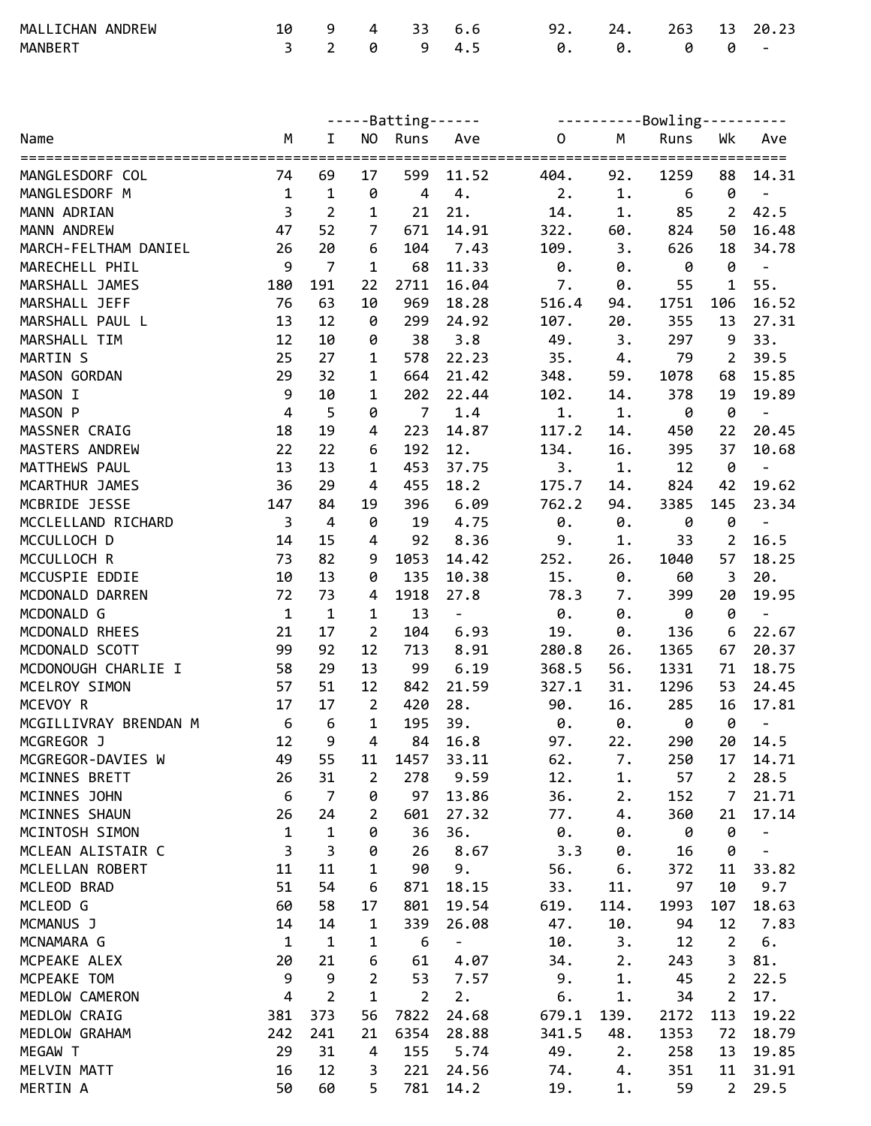| MALLICHAN ANDREW |  |  | 10 9 4 33 6.6 | 92. 24. 263 13 20.23    |  |  |
|------------------|--|--|---------------|-------------------------|--|--|
| MANBERT          |  |  |               | 3 2 0 9 4.5 0. 0. 0 0 - |  |  |

|                       |                         |                |                | -----Batting------ |                          | ----------Bowling---------- |                         |                  |                |                          |
|-----------------------|-------------------------|----------------|----------------|--------------------|--------------------------|-----------------------------|-------------------------|------------------|----------------|--------------------------|
| Name                  | M                       | $\mathbf I$    |                | NO Runs            | Ave                      | $\mathbf 0$                 | M                       | Runs             | Wk             | Ave                      |
| MANGLESDORF COL       | 74                      | 69             | 17             | 599                | 11.52                    | ===================<br>404. | 92.                     | 1259             | ========<br>88 | ===<br>14.31             |
| MANGLESDORF M         | $\mathbf{1}$            | $\mathbf 1$    | 0              | $\overline{4}$     | 4.                       | 2.                          | $1$ .                   | $\boldsymbol{6}$ | 0              | $\overline{\phantom{a}}$ |
| MANN ADRIAN           | $\overline{3}$          | $\overline{2}$ | $\mathbf{1}$   | 21                 | 21.                      | 14.                         | $1$ .                   | 85               | $\overline{2}$ | 42.5                     |
| MANN ANDREW           | 47                      | 52             | $\overline{7}$ | 671                | 14.91                    | 322.                        | 60.                     | 824              | 50             | 16.48                    |
| MARCH-FELTHAM DANIEL  | 26                      | 20             | 6              | 104                | 7.43                     | 109.                        | 3.                      | 626              | 18             | 34.78                    |
| MARECHELL PHIL        | 9                       | $\overline{7}$ | $\mathbf{1}$   | 68                 | 11.33                    | 0.                          | 0.                      | 0                | 0              | $\pm$                    |
| MARSHALL JAMES        | 180                     | 191            | 22             | 2711               | 16.04                    | 7.                          | 0.                      | 55               | $\mathbf{1}$   | 55.                      |
| MARSHALL JEFF         | 76                      | 63             | 10             | 969                | 18.28                    | 516.4                       | 94.                     | 1751             | 106            | 16.52                    |
| MARSHALL PAUL L       | 13                      | 12             | 0              | 299                | 24.92                    | 107.                        | 20.                     | 355              | 13             | 27.31                    |
| MARSHALL TIM          | 12                      | 10             | 0              | 38                 | 3.8                      | 49.                         | 3.                      | 297              | 9              | 33.                      |
| MARTIN S              | 25                      | 27             | 1              | 578                | 22.23                    | 35.                         | 4.                      | 79               | $\overline{2}$ | 39.5                     |
| MASON GORDAN          | 29                      | 32             | 1              | 664                | 21.42                    | 348.                        | 59.                     | 1078             | 68             | 15.85                    |
| MASON I               | $\mathsf 9$             | 10             | 1              | 202                | 22.44                    | 102.                        | 14.                     | 378              | 19             | 19.89                    |
| MASON P               | $\overline{\mathbf{4}}$ | 5              | 0              | $\overline{7}$     | 1.4                      | 1.                          | $1.$                    | 0                | $\pmb{\theta}$ | $\blacksquare$           |
| MASSNER CRAIG         | 18                      | 19             | 4              | 223                | 14.87                    | 117.2                       | 14.                     | 450              | 22             | 20.45                    |
| MASTERS ANDREW        | 22                      | 22             | 6              | 192                | 12.                      | 134.                        | 16.                     | 395              | 37             | 10.68                    |
| MATTHEWS PAUL         | 13                      | 13             | $\mathbf{1}$   | 453                | 37.75                    | 3.                          | $1.$                    | 12               | 0              | $\blacksquare$           |
| MCARTHUR JAMES        | 36                      | 29             | 4              | 455                | 18.2                     | 175.7                       | 14.                     | 824              | 42             | 19.62                    |
| MCBRIDE JESSE         | 147                     | 84             | 19             | 396                | 6.09                     | 762.2                       | 94.                     | 3385             | 145            | 23.34                    |
| MCCLELLAND RICHARD    | $\overline{3}$          | $\overline{4}$ | 0              | 19                 | 4.75                     | 0.                          | 0.                      | 0                | 0              | $\blacksquare$           |
| MCCULLOCH D           | 14                      | 15             | 4              | 92                 | 8.36                     | 9.                          | $1$ .                   | 33               | $\overline{2}$ | 16.5                     |
| MCCULLOCH R           | 73                      | 82             | 9              | 1053               | 14.42                    | 252.                        | 26.                     | 1040             | 57             | 18.25                    |
| MCCUSPIE EDDIE        | 10                      | 13             | 0              | 135                | 10.38                    | 15.                         | 0.                      | 60               | 3              | 20.                      |
| MCDONALD DARREN       | 72                      | 73             | 4              | 1918               | 27.8                     | 78.3                        | 7.                      | 399              | 20             | 19.95                    |
| MCDONALD G            | $\mathbf{1}$            | $\mathbf{1}$   | 1              | 13                 | $\overline{\phantom{a}}$ | 0.                          | 0.                      | 0                | 0              | $\qquad \qquad -$        |
| MCDONALD RHEES        | 21                      | 17             | $\overline{2}$ | 104                | 6.93                     | 19.                         | 0.                      | 136              | 6              | 22.67                    |
| MCDONALD SCOTT        | 99                      | 92             | 12             | 713                | 8.91                     | 280.8                       | 26.                     | 1365             | 67             | 20.37                    |
| MCDONOUGH CHARLIE I   | 58                      | 29             | 13             | 99                 | 6.19                     | 368.5                       | 56.                     | 1331             | 71             | 18.75                    |
| MCELROY SIMON         | 57                      | 51             | 12             | 842                | 21.59                    | 327.1                       | 31.                     | 1296             | 53             | 24.45                    |
| MCEVOY R              | 17                      | 17             | $\overline{2}$ | 420                | 28.                      | 90.                         | 16.                     | 285              | 16             | 17.81                    |
| MCGILLIVRAY BRENDAN M | 6                       | 6              | $\mathbf{1}$   | 195                | 39.                      | 0.                          | $\boldsymbol{\theta}$ . | 0                | 0              | $\overline{\phantom{a}}$ |
| MCGREGOR J            | 12                      | 9              | $\overline{4}$ | 84                 | 16.8                     | 97.                         | 22.                     | 290              | 20             | 14.5                     |
| MCGREGOR-DAVIES W     | 49                      | 55             | 11             | 1457               | 33.11                    | 62.                         | 7.                      | 250              | 17             | 14.71                    |
| MCINNES BRETT         | 26                      | 31             | $\overline{2}$ | 278                | 9.59                     | 12.                         | $1$ .                   | 57               | $\overline{2}$ | 28.5                     |
| MCINNES JOHN          | $\sqrt{6}$              | $\overline{7}$ | 0              | 97                 | 13.86                    | 36.                         | 2.                      | 152              | $\overline{7}$ | 21.71                    |
| MCINNES SHAUN         | 26                      | 24             | $\overline{2}$ | 601                | 27.32                    | 77.                         | 4.                      | 360              | 21             | 17.14                    |
| MCINTOSH SIMON        | $\mathbf{1}$            | $\mathbf{1}$   | 0              | 36                 | 36.                      | 0.                          | 0.                      | 0                | 0              |                          |
| MCLEAN ALISTAIR C     | 3                       | 3              | 0              | 26                 | 8.67                     | 3.3                         | 0.                      | 16               | 0              |                          |
| MCLELLAN ROBERT       | 11                      | 11             | 1              | 90                 | 9.                       | 56.                         | 6.                      | 372              | 11             | 33.82                    |
| MCLEOD BRAD           | 51                      | 54             | 6              | 871                | 18.15                    | 33.                         | 11.                     | 97               | 10             | 9.7                      |
| MCLEOD G              | 60                      | 58             | 17             | 801                | 19.54                    | 619.                        | 114.                    | 1993             | 107            | 18.63                    |
| MCMANUS J             | 14                      | 14             | 1              | 339                | 26.08                    | 47.                         | 10.                     | 94               | 12             | 7.83                     |
| MCNAMARA G            | $\mathbf{1}$            | $\mathbf 1$    | 1              | 6                  | $\overline{\phantom{a}}$ | 10.                         | 3.                      | 12               | $\overline{2}$ | 6.                       |
| MCPEAKE ALEX          | 20                      | 21             | 6              | 61                 | 4.07                     | 34.                         | 2.                      | 243              | 3              | 81.                      |
| MCPEAKE TOM           | 9                       | 9              | $\overline{2}$ | 53                 | 7.57                     | 9.                          | 1.                      | 45               | $\overline{2}$ | 22.5                     |
| MEDLOW CAMERON        | 4                       | $\overline{2}$ | 1              | $\overline{2}$     | 2.                       | $6$ .                       | 1.                      | 34               | 2              | 17.                      |
| MEDLOW CRAIG          | 381                     | 373            | 56             | 7822               | 24.68                    | 679.1                       | 139.                    | 2172             | 113            | 19.22                    |
| MEDLOW GRAHAM         | 242                     | 241            | 21             | 6354               | 28.88                    | 341.5                       | 48.                     | 1353             | 72             | 18.79                    |
| MEGAW T               | 29                      | 31             | 4              | 155                | 5.74                     | 49.                         | 2.                      | 258              | 13             | 19.85                    |
| MELVIN MATT           | 16                      | 12             | 3              | 221                | 24.56                    | 74.                         | 4.                      | 351              | 11             | 31.91                    |
| MERTIN A              | 50                      | 60             | 5              | 781                | 14.2                     | 19.                         | 1.                      | 59               | $\overline{2}$ | 29.5                     |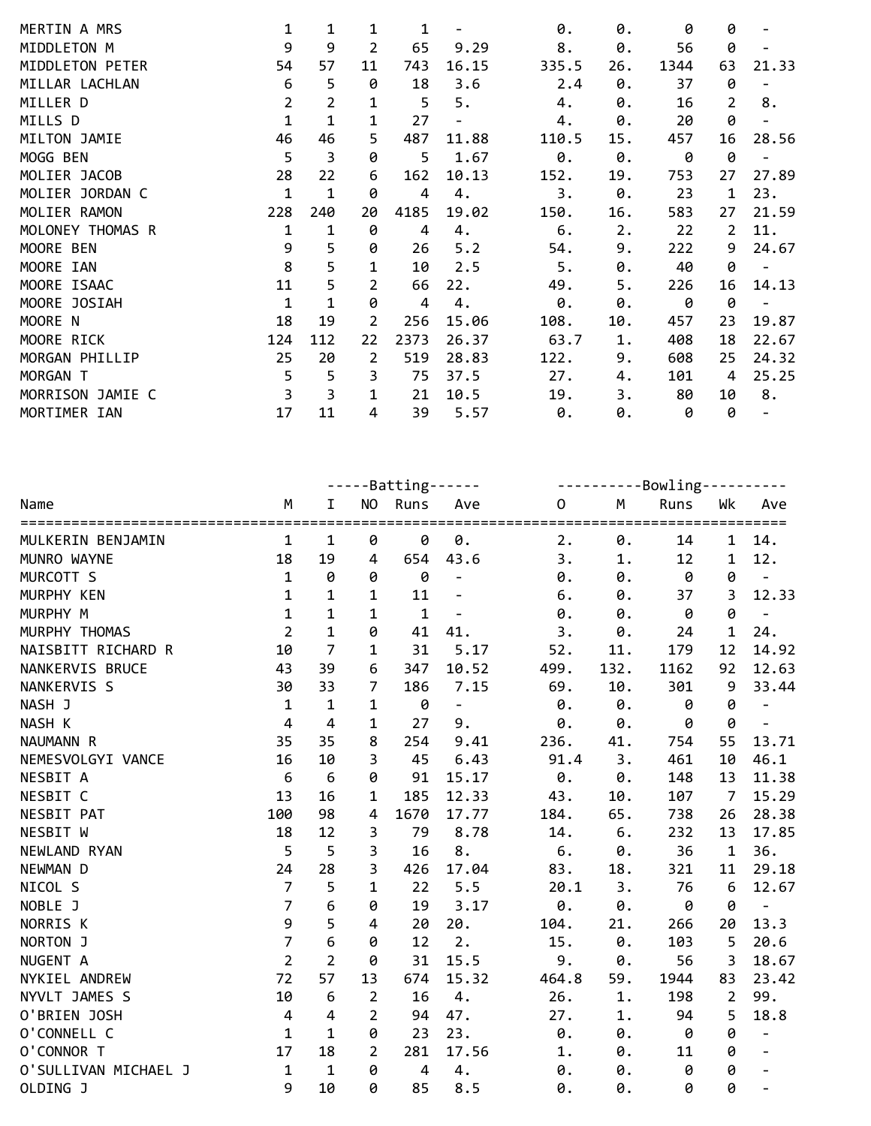| MERTIN A MRS     | 1            | 1            | 1              | 1    |       | 0.    | 0.  | 0    | 0  |                          |
|------------------|--------------|--------------|----------------|------|-------|-------|-----|------|----|--------------------------|
| MIDDLETON M      | 9            | 9            | $\overline{2}$ | 65   | 9.29  | 8.    | 0.  | 56   | 0  |                          |
| MIDDLETON PETER  | 54           | 57           | 11             | 743  | 16.15 | 335.5 | 26. | 1344 | 63 | 21.33                    |
| MILLAR LACHLAN   | 6            | 5            | 0              | 18   | 3.6   | 2.4   | 0.  | 37   | 0  |                          |
| MILLER D         | 2            | 2            | 1              | 5    | 5.    | 4.    | 0.  | 16   | 2  | 8.                       |
| MILLS D          | $\mathbf{1}$ | 1            | 1              | 27   |       | 4.    | 0.  | 20   | 0  |                          |
| MILTON JAMIE     | 46           | 46           | 5              | 487  | 11.88 | 110.5 | 15. | 457  | 16 | 28.56                    |
| MOGG BEN         | 5            | 3            | 0              | 5    | 1.67  | 0.    | 0.  | 0    | 0  |                          |
| MOLIER JACOB     | 28           | 22           | 6              | 162  | 10.13 | 152.  | 19. | 753  | 27 | 27.89                    |
| MOLIER JORDAN C  | 1            | 1            | 0              | 4    | 4.    | 3.    | 0.  | 23   | 1  | 23.                      |
| MOLIER RAMON     | 228          | 240          | 20             | 4185 | 19.02 | 150.  | 16. | 583  | 27 | 21.59                    |
| MOLONEY THOMAS R | 1            | 1            | 0              | 4    | 4.    | 6.    | 2.  | 22   | 2  | 11.                      |
| MOORE BEN        | 9            | 5            | 0              | 26   | 5.2   | 54.   | 9.  | 222  | 9  | 24.67                    |
| MOORE IAN        | 8            | 5            | $\mathbf{1}$   | 10   | 2.5   | 5.    | 0.  | 40   | 0  | $\overline{\phantom{a}}$ |
| MOORE ISAAC      | 11           | 5            | $\overline{2}$ | 66   | 22.   | 49.   | 5.  | 226  | 16 | 14.13                    |
| MOORE JOSIAH     | $\mathbf{1}$ | $\mathbf{1}$ | 0              | 4    | 4.    | 0.    | 0.  | 0    | 0  |                          |
| MOORE N          | 18           | 19           | 2              | 256  | 15.06 | 108.  | 10. | 457  | 23 | 19.87                    |
| MOORE RICK       | 124          | 112          | 22             | 2373 | 26.37 | 63.7  | 1.  | 408  | 18 | 22.67                    |
| MORGAN PHILLIP   | 25           | 20           | $\overline{2}$ | 519  | 28.83 | 122.  | 9.  | 608  | 25 | 24.32                    |
| MORGAN T         | 5            | 5            | 3              | 75   | 37.5  | 27.   | 4.  | 101  | 4  | 25.25                    |
| MORRISON JAMIE C | 3            | 3            | 1              | 21   | 10.5  | 19.   | 3.  | 80   | 10 | 8.                       |
| MORTIMER IAN     | 17           | 11           | 4              | 39   | 5.57  | 0.    | 0.  | 0    | 0  |                          |

|                      |                |                  |                | -----Batting------ |                          | ----------Bowling---------- |                         |      |                |                          |
|----------------------|----------------|------------------|----------------|--------------------|--------------------------|-----------------------------|-------------------------|------|----------------|--------------------------|
| Name                 | M              | $\mathbf I$      |                | NO Runs            | Ave                      | $\mathbf 0$                 | M                       | Runs | Wk             | Ave                      |
| MULKERIN BENJAMIN    | $\mathbf{1}$   | 1                | 0              | 0                  | 0.                       | 2.                          | 0.                      | 14   | $\mathbf 1$    | 14.                      |
| MUNRO WAYNE          | 18             | 19               | 4              | 654                | 43.6                     | 3.                          | $1$ .                   | 12   | 1              | 12.                      |
| MURCOTT S            | $\mathbf 1$    | 0                | 0              | 0                  | $\equiv$                 | 0.                          | $\boldsymbol{\theta}$ . | 0    | 0              | $\blacksquare$           |
| MURPHY KEN           | $\mathbf 1$    | $\mathbf{1}$     | $\mathbf 1$    | 11                 | $\overline{\phantom{a}}$ | 6.                          | 0.                      | 37   | $\overline{3}$ | 12.33                    |
| MURPHY M             | $\mathbf{1}$   | $\mathbf{1}$     | 1              | $\mathbf{1}$       | $\qquad \qquad -$        | 0.                          | 0.                      | 0    | 0              | $\overline{\phantom{a}}$ |
| MURPHY THOMAS        | $\overline{2}$ | $\mathbf{1}$     | 0              | 41                 | 41.                      | 3.                          | 0.                      | 24   | $\mathbf 1$    | 24.                      |
| NAISBITT RICHARD R   | 10             | $\overline{7}$   | 1              | 31                 | 5.17                     | 52.                         | 11.                     | 179  | 12             | 14.92                    |
| NANKERVIS BRUCE      | 43             | 39               | 6              | 347                | 10.52                    | 499.                        | 132.                    | 1162 | 92             | 12.63                    |
| NANKERVIS S          | 30             | 33               | $\overline{7}$ | 186                | 7.15                     | 69.                         | 10.                     | 301  | 9              | 33.44                    |
| NASH J               | $\mathbf 1$    | $\mathbf{1}$     | 1              | 0                  | $\Box$                   | 0.                          | 0.                      | 0    | 0              | $\overline{\phantom{a}}$ |
| NASH K               | $\overline{4}$ | $\overline{4}$   | 1              | 27                 | 9.                       | 0.                          | 0.                      | 0    | 0              | $\overline{\phantom{a}}$ |
| NAUMANN R            | 35             | 35               | 8              | 254                | 9.41                     | 236.                        | 41.                     | 754  | 55             | 13.71                    |
| NEMESVOLGYI VANCE    | 16             | 10               | 3              | 45                 | 6.43                     | 91.4                        | 3.                      | 461  | 10             | 46.1                     |
| NESBIT A             | 6              | $\boldsymbol{6}$ | 0              | 91                 | 15.17                    | 0.                          | 0.                      | 148  | 13             | 11.38                    |
| NESBIT C             | 13             | 16               | 1              | 185                | 12.33                    | 43.                         | 10.                     | 107  | $\overline{7}$ | 15.29                    |
| <b>NESBIT PAT</b>    | 100            | 98               | 4              | 1670               | 17.77                    | 184.                        | 65.                     | 738  | 26             | 28.38                    |
| NESBIT W             | 18             | 12               | 3              | 79                 | 8.78                     | 14.                         | 6.                      | 232  | 13             | 17.85                    |
| NEWLAND RYAN         | 5              | 5                | 3              | 16                 | 8.                       | 6.                          | 0.                      | 36   | $\mathbf 1$    | 36.                      |
| NEWMAN D             | 24             | 28               | 3              | 426                | 17.04                    | 83.                         | 18.                     | 321  | 11             | 29.18                    |
| NICOL S              | $\overline{7}$ | 5                | 1              | 22                 | 5.5                      | 20.1                        | 3.                      | 76   | $\sqrt{6}$     | 12.67                    |
| NOBLE J              | $\overline{7}$ | 6                | 0              | 19                 | 3.17                     | 0.                          | 0.                      | 0    | 0              | $\omega_{\rm{eff}}$      |
| NORRIS K             | 9              | 5                | 4              | 20                 | 20.                      | 104.                        | 21.                     | 266  | 20             | 13.3                     |
| NORTON J             | $\overline{7}$ | $6\phantom{1}6$  | 0              | 12                 | 2.                       | 15.                         | $\theta$ .              | 103  | 5              | 20.6                     |
| NUGENT A             | $\overline{2}$ | $\overline{2}$   | 0              | 31                 | 15.5                     | 9.                          | 0.                      | 56   | 3              | 18.67                    |
| NYKIEL ANDREW        | 72             | 57               | 13             | 674                | 15.32                    | 464.8                       | 59.                     | 1944 | 83             | 23.42                    |
| NYVLT JAMES S        | 10             | $\sqrt{6}$       | $\overline{2}$ | 16                 | 4.                       | 26.                         | $1$ .                   | 198  | $\overline{2}$ | 99.                      |
| O'BRIEN JOSH         | $\overline{4}$ | $\overline{4}$   | $\overline{2}$ | 94                 | 47.                      | 27.                         | $1$ .                   | 94   | 5              | 18.8                     |
| O'CONNELL C          | $\mathbf{1}$   | $\mathbf{1}$     | 0              | 23                 | 23.                      | 0.                          | 0.                      | 0    | 0              | $\overline{\phantom{a}}$ |
| O'CONNOR T           | 17             | 18               | $\overline{2}$ | 281                | 17.56                    | 1.                          | 0.                      | 11   | 0              | $\overline{\phantom{a}}$ |
| O'SULLIVAN MICHAEL J | $\mathbf{1}$   | $\mathbf 1$      | 0              | $\overline{4}$     | 4.                       | 0.                          | 0.                      | 0    | 0              | $\blacksquare$           |
| OLDING J             | 9              | 10               | 0              | 85                 | 8.5                      | 0.                          | 0.                      | 0    | 0              |                          |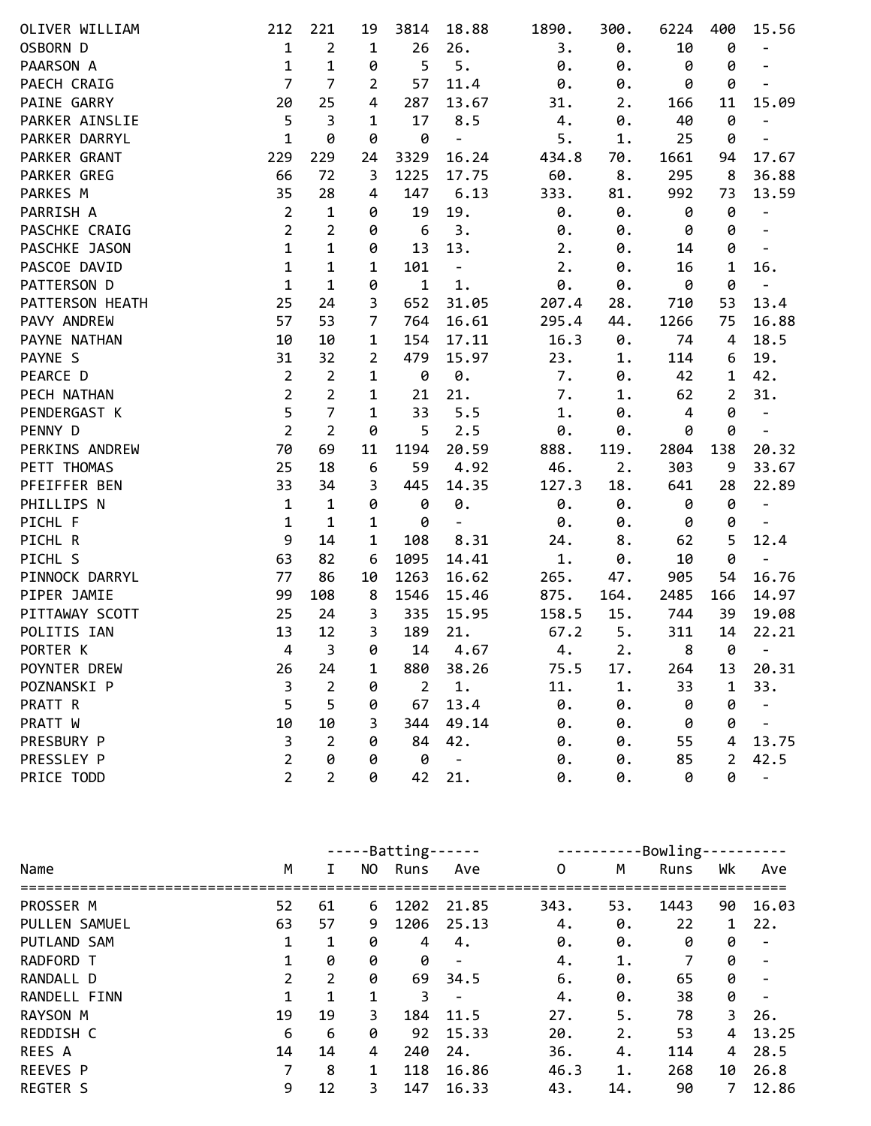| OLIVER WILLIAM  | 212            | 221            | 19             | 3814           | 18.88                    | 1890. | 300.  | 6224 | 400            | 15.56                        |
|-----------------|----------------|----------------|----------------|----------------|--------------------------|-------|-------|------|----------------|------------------------------|
| OSBORN D        | $\mathbf{1}$   | $\overline{2}$ | $\mathbf 1$    | 26             | 26.                      | 3.    | 0.    | 10   | 0              | $\overline{a}$               |
| PAARSON A       | $\mathbf{1}$   | $\mathbf 1$    | 0              | 5              | 5.                       | 0.    | 0.    | 0    | 0              | $\overline{\phantom{a}}$     |
| PAECH CRAIG     | $\overline{7}$ | $\overline{7}$ | 2              | 57             | 11.4                     | 0.    | 0.    | 0    | 0              |                              |
| PAINE GARRY     | 20             | 25             | 4              | 287            | 13.67                    | 31.   | 2.    | 166  | 11             | 15.09                        |
| PARKER AINSLIE  | 5              | 3              | 1              | 17             | 8.5                      | 4.    | 0.    | 40   | 0              | $\overline{\phantom{m}}$     |
| PARKER DARRYL   | $\mathbf{1}$   | 0              | 0              | 0              | $\blacksquare$           | 5.    | 1.    | 25   | 0              | $\qquad \qquad -$            |
| PARKER GRANT    | 229            | 229            | 24             | 3329           | 16.24                    | 434.8 | 70.   | 1661 | 94             | 17.67                        |
| PARKER GREG     | 66             | 72             | 3              | 1225           | 17.75                    | 60.   | 8.    | 295  | 8              | 36.88                        |
| PARKES M        | 35             | 28             | 4              | 147            | 6.13                     | 333.  | 81.   | 992  | 73             | 13.59                        |
| PARRISH A       | $\overline{2}$ | 1              | 0              | 19             | 19.                      | 0.    | 0.    | 0    | 0              | $\overline{\phantom{m}}$     |
| PASCHKE CRAIG   | $\overline{2}$ | $\overline{2}$ | 0              | 6              | 3.                       | 0.    | 0.    | 0    | 0              | $\frac{1}{2}$                |
| PASCHKE JASON   | $\mathbf{1}$   | $\mathbf{1}$   | 0              | 13             | 13.                      | 2.    | 0.    | 14   | 0              | $\overline{\phantom{a}}$     |
| PASCOE DAVID    | $\mathbf 1$    | $\mathbf 1$    | $\mathbf 1$    | 101            | $\qquad \qquad -$        | 2.    | 0.    | 16   | $\mathbf{1}$   | 16.                          |
| PATTERSON D     | $\mathbf{1}$   | $\mathbf{1}$   | 0              | $\mathbf{1}$   | $1.$                     | 0.    | 0.    | 0    | 0              |                              |
| PATTERSON HEATH | 25             | 24             | 3              | 652            | 31.05                    | 207.4 | 28.   | 710  | 53             | 13.4                         |
| PAVY ANDREW     | 57             | 53             | 7              | 764            | 16.61                    | 295.4 | 44.   | 1266 | 75             | 16.88                        |
| PAYNE NATHAN    | 10             | 10             | 1              | 154            | 17.11                    | 16.3  | 0.    | 74   | 4              | 18.5                         |
| PAYNE S         | 31             | 32             | $\overline{2}$ | 479            | 15.97                    | 23.   | 1.    | 114  | 6              | 19.                          |
| PEARCE D        | $\overline{2}$ | $\overline{2}$ | 1              | 0              | $\theta$ .               | 7.    | 0.    | 42   | $\mathbf{1}$   | 42.                          |
| PECH NATHAN     | $\overline{2}$ | $\overline{2}$ | $\mathbf{1}$   | 21             | 21.                      | 7.    | $1$ . | 62   | $\overline{2}$ | 31.                          |
| PENDERGAST K    | 5              | $\overline{7}$ | 1              | 33             | 5.5                      | 1.    | 0.    | 4    | 0              | $\qquad \qquad \blacksquare$ |
| PENNY D         | $\overline{2}$ | $\overline{2}$ | 0              | 5              | 2.5                      | 0.    | 0.    | 0    | 0              | $\overline{a}$               |
| PERKINS ANDREW  | 70             | 69             | 11             | 1194           | 20.59                    | 888.  | 119.  | 2804 | 138            | 20.32                        |
| PETT THOMAS     | 25             | 18             | 6              | 59             | 4.92                     | 46.   | 2.    | 303  | 9              | 33.67                        |
| PFEIFFER BEN    | 33             | 34             | 3              | 445            | 14.35                    | 127.3 | 18.   | 641  | 28             | 22.89                        |
| PHILLIPS N      | $\mathbf{1}$   | $\mathbf{1}$   | 0              | 0              | 0.                       | 0.    | 0.    | 0    | 0              | $\blacksquare$               |
| PICHL F         | $\mathbf{1}$   | $\mathbf{1}$   | $\mathbf{1}$   | 0              | $\overline{\phantom{a}}$ | 0.    | 0.    | 0    | 0              |                              |
| PICHL R         | 9              | 14             | $\mathbf{1}$   | 108            | 8.31                     | 24.   | 8.    | 62   | 5              | 12.4                         |
| PICHL S         | 63             | 82             | 6              | 1095           | 14.41                    | 1.    | 0.    | 10   | 0              |                              |
| PINNOCK DARRYL  | 77             | 86             | 10             | 1263           | 16.62                    | 265.  | 47.   | 905  | 54             | 16.76                        |
| PIPER JAMIE     | 99             | 108            | 8              | 1546           | 15.46                    | 875.  | 164.  | 2485 | 166            | 14.97                        |
| PITTAWAY SCOTT  | 25             | 24             | 3              | 335            | 15.95                    | 158.5 | 15.   | 744  | 39             | 19.08                        |
| POLITIS IAN     | 13             | 12             | 3              | 189            | 21.                      | 67.2  | 5.    | 311  | 14             | 22.21                        |
| PORTER K        | $\overline{4}$ | 3              | 0              | 14             | 4.67                     | 4.    | 2.    | 8    | 0              | $\overline{\phantom{m}}$     |
| POYNTER DREW    | 26             | 24             | 1              | 880            | 38.26                    | 75.5  | 17.   | 264  | 13             | 20.31                        |
| POZNANSKI P     | 3              | 2              | 0              | $\overline{2}$ | 1.                       | 11.   | 1.    | 33   | $\mathbf 1$    | 33.                          |
| PRATT R         | 5              | 5              | 0              | 67             | 13.4                     | 0.    | 0.    | 0    | 0              |                              |
| PRATT W         | 10             | 10             | 3              | 344            | 49.14                    | 0.    | 0.    | 0    | 0              |                              |
| PRESBURY P      | 3              | $\overline{2}$ | 0              | 84             | 42.                      | 0.    | 0.    | 55   | 4              | 13.75                        |
| PRESSLEY P      | $\overline{2}$ | 0              | 0              | 0              | $\blacksquare$           | 0.    | 0.    | 85   | $\overline{2}$ | 42.5                         |
| PRICE TODD      | $\overline{2}$ | $\overline{2}$ | 0              | 42             | 21.                      | 0.    | 0.    | 0    | 0              | $\qquad \qquad -$            |

|                 |              |    |     | -----Batting- |                          | -Bowling-<br>--------- |     |      |    |       |  |
|-----------------|--------------|----|-----|---------------|--------------------------|------------------------|-----|------|----|-------|--|
| Name            | M            | Ι. | NO. | Runs          | Ave                      | 0                      | M   | Runs | Wk | Ave   |  |
| PROSSER M       | 52           | 61 | 6   | 1202          | 21.85                    | 343.                   | 53. | 1443 | 90 | 16.03 |  |
| PULLEN SAMUEL   | 63           | 57 | 9   | 1206          | 25.13                    | 4.                     | 0.  | 22   | 1  | 22.   |  |
| PUTLAND SAM     | 1            | 1  | 0   | 4             | 4.                       | 0.                     | 0.  | 0    | 0  |       |  |
| RADFORD T       | 1            | 0  | 0   | 0             | $\overline{\phantom{a}}$ | 4.                     | 1.  | 7    | 0  |       |  |
| RANDALL D       | $\mathbf{2}$ | 2  | 0   | 69            | 34.5                     | 6.                     | 0.  | 65   | 0  |       |  |
| RANDELL FINN    | 1            | 1  | 1   | 3             |                          | 4.                     | 0.  | 38   | 0  |       |  |
| <b>RAYSON M</b> | 19           | 19 | 3.  | 184           | 11.5                     | 27.                    | 5.  | 78   | 3  | 26.   |  |
| REDDISH C       | 6            | 6  | 0   | 92            | 15.33                    | 20.                    | 2.  | 53   | 4  | 13.25 |  |
| <b>REES A</b>   | 14           | 14 | 4   | 240           | 24.                      | 36.                    | 4.  | 114  | 4  | 28.5  |  |
| <b>REEVES P</b> | 7            | 8  | 1   | 118           | 16.86                    | 46.3                   | 1.  | 268  | 10 | 26.8  |  |
| <b>REGTER S</b> | 9            | 12 | 3.  | 147           | 16.33                    | 43.                    | 14. | 90   | 7  | 12.86 |  |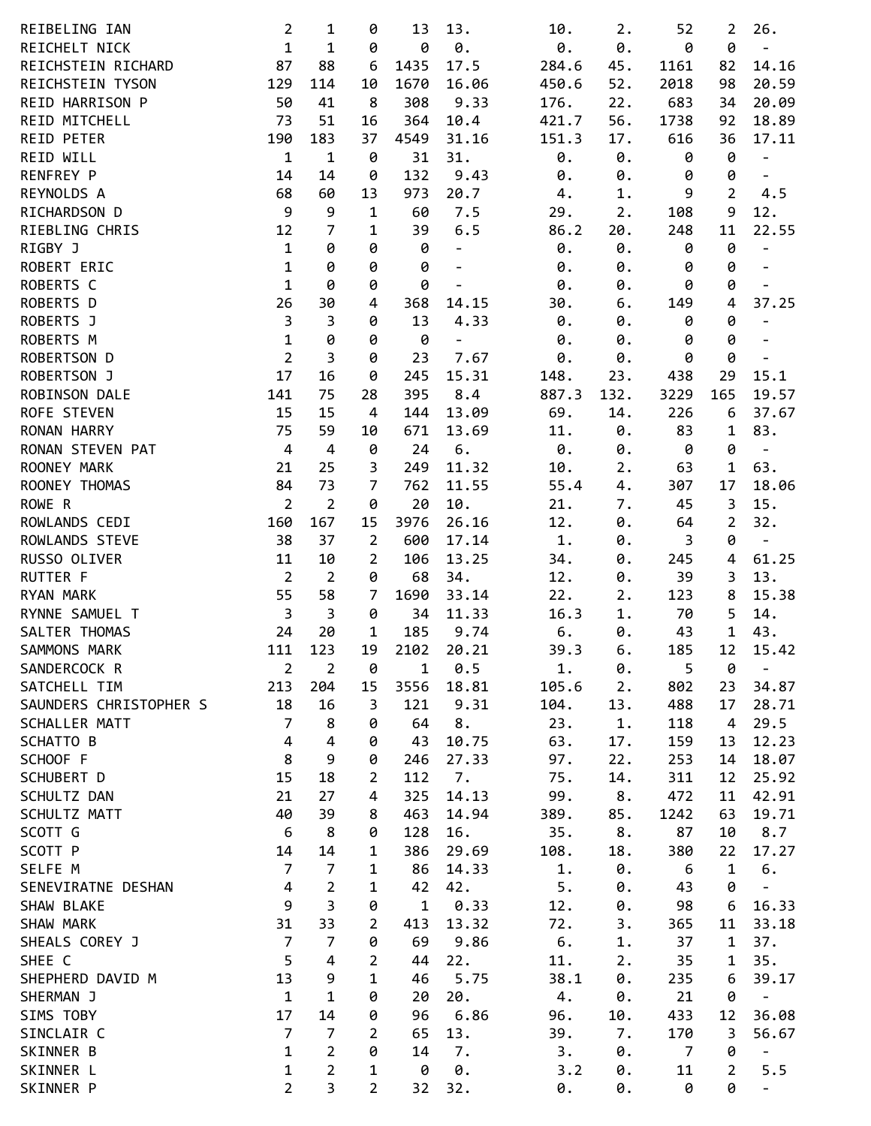| REIBELING IAN          | $\overline{2}$          | 1                       | 0              | 13          | 13.                      | 10.   | 2.    | 52               | 2              | 26.                          |
|------------------------|-------------------------|-------------------------|----------------|-------------|--------------------------|-------|-------|------------------|----------------|------------------------------|
| REICHELT NICK          | $\mathbf{1}$            | $\mathbf 1$             | 0              | 0           | $\theta$ .               | 0.    | 0.    | 0                | 0              | $\qquad \qquad \blacksquare$ |
| REICHSTEIN RICHARD     | 87                      | 88                      | 6              | 1435        | 17.5                     | 284.6 | 45.   | 1161             | 82             | 14.16                        |
| REICHSTEIN TYSON       | 129                     | 114                     | 10             | 1670        | 16.06                    | 450.6 | 52.   | 2018             | 98             | 20.59                        |
| REID HARRISON P        | 50                      | 41                      | 8              | 308         | 9.33                     | 176.  | 22.   | 683              | 34             | 20.09                        |
| REID MITCHELL          | 73                      | 51                      | 16             | 364         | 10.4                     | 421.7 | 56.   | 1738             | 92             | 18.89                        |
| <b>REID PETER</b>      | 190                     | 183                     | 37             | 4549        | 31.16                    | 151.3 | 17.   | 616              | 36             | 17.11                        |
| REID WILL              | $\mathbf 1$             | $\mathbf 1$             | 0              | 31          | 31.                      | 0.    | 0.    | 0                | 0              | $\overline{\phantom{0}}$     |
| RENFREY P              | 14                      | 14                      | 0              | 132         | 9.43                     | 0.    | 0.    | 0                | 0              | $\blacksquare$               |
| REYNOLDS A             | 68                      | 60                      | 13             | 973         | 20.7                     | 4.    | 1.    | 9                | $\overline{2}$ | 4.5                          |
| RICHARDSON D           | 9                       | 9                       | $\mathbf{1}$   | 60          | 7.5                      | 29.   | 2.    | 108              | 9              | 12.                          |
| RIEBLING CHRIS         | 12                      | 7                       | 1              | 39          | 6.5                      | 86.2  | 20.   | 248              | 11             | 22.55                        |
| RIGBY J                | $\mathbf 1$             | 0                       | 0              | 0           | $\qquad \qquad -$        | 0.    | 0.    | 0                | 0              | $\blacksquare$               |
| ROBERT ERIC            | $\mathbf 1$             | 0                       | 0              | 0           | $\overline{\phantom{m}}$ | 0.    | 0.    | 0                | 0              | $\overline{\phantom{0}}$     |
| ROBERTS C              | $\mathbf{1}$            | 0                       | 0              | 0           | $\overline{\phantom{a}}$ | 0.    | 0.    | 0                | 0              |                              |
| ROBERTS D              | 26                      | 30                      | 4              | 368         | 14.15                    | 30.   | 6.    | 149              | 4              | 37.25                        |
| ROBERTS J              | $\mathsf{3}$            | 3                       | 0              | 13          | 4.33                     | 0.    | 0.    | 0                | 0              | $\qquad \qquad \blacksquare$ |
| ROBERTS M              | $\mathbf 1$             | 0                       | 0              | 0           | $\blacksquare$           | 0.    | 0.    | 0                | 0              | $\overline{\phantom{a}}$     |
| ROBERTSON D            | $\overline{2}$          | 3                       | 0              | 23          | 7.67                     | 0.    | 0.    | 0                | 0              | $\overline{\phantom{a}}$     |
| ROBERTSON J            | 17                      | 16                      | 0              | 245         | 15.31                    | 148.  | 23.   | 438              | 29             | 15.1                         |
| ROBINSON DALE          | 141                     | 75                      | 28             | 395         | 8.4                      | 887.3 | 132.  | 3229             | 165            | 19.57                        |
| ROFE STEVEN            | 15                      | 15                      | 4              | 144         | 13.09                    | 69.   | 14.   | 226              | 6              | 37.67                        |
| RONAN HARRY            | 75                      | 59                      | 10             | 671         | 13.69                    | 11.   | 0.    | 83               | 1              | 83.                          |
| RONAN STEVEN PAT       | $\overline{4}$          | $\overline{4}$          | 0              | 24          | 6.                       | 0.    | 0.    | 0                | 0              | $\overline{\phantom{a}}$     |
| ROONEY MARK            | 21                      | 25                      | 3              | 249         | 11.32                    | 10.   | 2.    | 63               | $\mathbf{1}$   | 63.                          |
| ROONEY THOMAS          | 84                      | 73                      | 7              | 762         | 11.55                    | 55.4  | 4.    | 307              | 17             | 18.06                        |
| ROWE R                 | $\overline{2}$          | $\overline{2}$          | 0              | 20          | 10.                      | 21.   | 7.    | 45               | 3              | 15.                          |
| ROWLANDS CEDI          | 160                     | 167                     | 15             | 3976        | 26.16                    | 12.   | 0.    | 64               | $\overline{2}$ | 32.                          |
| ROWLANDS STEVE         | 38                      | 37                      | $\overline{2}$ |             | 17.14                    | 1.    |       | 3                | 0              |                              |
|                        | 11                      |                         |                | 600         |                          |       | 0.    |                  |                | $\overline{\phantom{a}}$     |
| RUSSO OLIVER           | $\overline{2}$          | 10                      | 2              | 106         | 13.25                    | 34.   | 0.    | 245              | 4              | 61.25                        |
| <b>RUTTER F</b>        |                         | $\overline{2}$          | 0              | 68          | 34.                      | 12.   | 0.    | 39               | 3              | 13.                          |
| <b>RYAN MARK</b>       | 55                      | 58                      | $\overline{7}$ | 1690        | 33.14                    | 22.   | 2.    | 123              | 8              | 15.38                        |
| RYNNE SAMUEL T         | $\overline{3}$          | $\overline{3}$          | 0              | 34          | 11.33                    | 16.3  | 1.    | 70               | 5              | 14.                          |
| SALTER THOMAS          | 24                      | 20                      | $\mathbf{1}$   | 185         | 9.74                     | 6.    | 0.    | 43               | $\mathbf{1}$   | 43.                          |
| SAMMONS MARK           | 111                     | 123                     | 19             | 2102        | 20.21                    | 39.3  | 6.    | 185              | 12             | 15.42                        |
| SANDERCOCK R           | $\overline{2}$          | 2                       | 0              | 1           | 0.5                      | 1.    | 0.    | 5                | 0              | $\overline{\phantom{0}}$     |
| SATCHELL TIM           | 213                     | 204                     | 15             | 3556        | 18.81                    | 105.6 | 2.    | 802              | 23             | 34.87                        |
| SAUNDERS CHRISTOPHER S | 18                      | 16                      | 3              | 121         | 9.31                     | 104.  | 13.   | 488              | 17             | 28.71                        |
| SCHALLER MATT          | $\overline{7}$          | 8                       | 0              | 64          | 8.                       | 23.   | $1$ . | 118              | 4              | 29.5                         |
| SCHATTO B              | 4                       | $\overline{4}$          | 0              | 43          | 10.75                    | 63.   | 17.   | 159              | 13             | 12.23                        |
| SCHOOF F               | 8                       | 9                       | 0              | 246         | 27.33                    | 97.   | 22.   | 253              | 14             | 18.07                        |
| SCHUBERT D             | 15                      | 18                      | 2              | 112         | 7.                       | 75.   | 14.   | 311              | 12             | 25.92                        |
| SCHULTZ DAN            | 21                      | 27                      | 4              | 325         | 14.13                    | 99.   | 8.    | 472              | 11             | 42.91                        |
| SCHULTZ MATT           | 40                      | 39                      | 8              | 463         | 14.94                    | 389.  | 85.   | 1242             | 63             | 19.71                        |
| SCOTT G                | 6                       | 8                       | 0              | 128         | 16.                      | 35.   | 8.    | 87               | 10             | 8.7                          |
| SCOTT P                | 14                      | 14                      | 1              | 386         | 29.69                    | 108.  | 18.   | 380              | 22             | 17.27                        |
| SELFE M                | $\overline{7}$          | $\overline{7}$          | 1              | 86          | 14.33                    | 1.    | 0.    | $\boldsymbol{6}$ | $\mathbf{1}$   | 6.                           |
| SENEVIRATNE DESHAN     | $\overline{\mathbf{4}}$ | $\overline{2}$          | 1              | 42          | 42.                      | 5.    | 0.    | 43               | 0              | $\overline{\phantom{0}}$     |
| SHAW BLAKE             | 9                       | $\overline{\mathbf{3}}$ | 0              | $\mathbf 1$ | 0.33                     | 12.   | 0.    | 98               | 6              | 16.33                        |
| SHAW MARK              | 31                      | 33                      | 2              | 413         | 13.32                    | 72.   | 3.    | 365              | 11             | 33.18                        |
| SHEALS COREY J         | $\overline{7}$          | $\overline{7}$          | 0              | 69          | 9.86                     | 6.    | 1.    | 37               | 1              | 37.                          |
| SHEE C                 | 5                       | 4                       | $\overline{2}$ | 44          | 22.                      | 11.   | 2.    | 35               | 1              | 35.                          |
| SHEPHERD DAVID M       | 13                      | 9                       | $\mathbf 1$    | 46          | 5.75                     | 38.1  | 0.    | 235              | 6              | 39.17                        |
| SHERMAN J              | $\mathbf 1$             | $\mathbf 1$             | 0              | 20          | 20.                      | 4.    | 0.    | 21               | 0              | $\qquad \qquad \blacksquare$ |
| SIMS TOBY              | 17                      | 14                      | 0              | 96          | 6.86                     | 96.   | 10.   | 433              | 12             | 36.08                        |
| SINCLAIR C             | $\overline{7}$          | $\overline{7}$          | $\overline{2}$ | 65          | 13.                      | 39.   | 7.    | 170              | 3              | 56.67                        |
| SKINNER B              | $\mathbf 1$             | $\overline{2}$          | 0              | 14          | 7.                       | 3.    | 0.    | $\overline{7}$   | 0              | $\overline{\phantom{0}}$     |
| SKINNER L              | $\mathbf 1$             | $\overline{2}$          | $\mathbf 1$    | 0           | 0.                       | 3.2   | 0.    | 11               | $\overline{2}$ | 5.5                          |
| SKINNER P              | $\overline{2}$          | 3                       | $\overline{2}$ | 32          | 32.                      | 0.    | 0.    | 0                | 0              | $\overline{\phantom{a}}$     |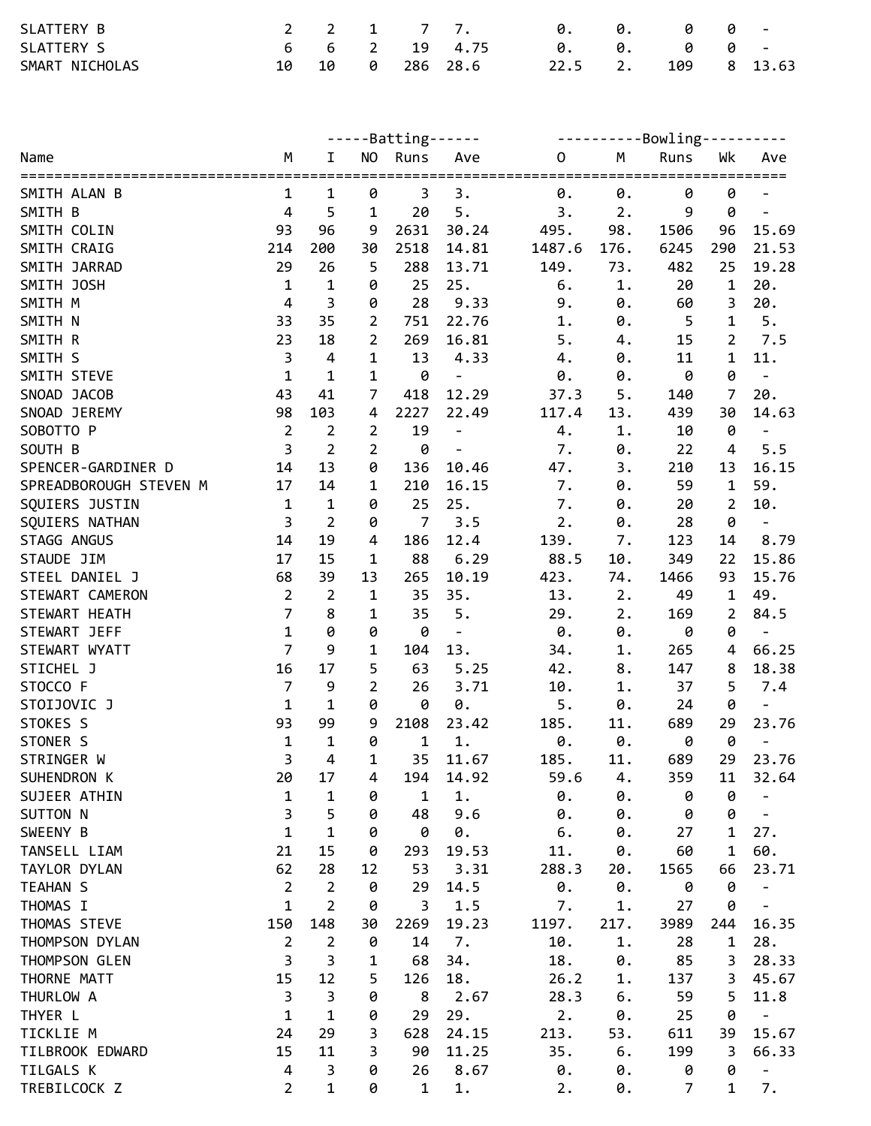| SLATTERY B     |       |  | 2 2 1 7 7.    | . ი.      | 0. | - 0 - 0 |             |
|----------------|-------|--|---------------|-----------|----|---------|-------------|
| SLATTERY S     |       |  | 6 6 2 19 4.75 | <b>0.</b> | 0. | 00-     |             |
| SMART NICHOLAS | 10 10 |  | 0 286 28.6    | 22.5 2.   |    |         | 109 8 13.63 |

|                                          |                                        |                                |                | -----Batting------ |                              |             | ----------Bowling---------- |                |                |                                  |  |  |
|------------------------------------------|----------------------------------------|--------------------------------|----------------|--------------------|------------------------------|-------------|-----------------------------|----------------|----------------|----------------------------------|--|--|
| Name                                     | M                                      | I.                             |                | NO Runs            | Ave                          | $\mathbf 0$ | M                           | Runs           | Wk             | Ave                              |  |  |
| SMITH ALAN B                             | 1                                      | 1                              | 0              | 3                  | 3.                           | 0.          | 0.                          | =====<br>0     | 0              | ===                              |  |  |
| SMITH B                                  | $\overline{a}$                         | 5                              | $\mathbf{1}$   | 20                 | 5.                           | 3.          | 2.                          | 9              | 0              |                                  |  |  |
| SMITH COLIN                              | 93                                     | 96                             | 9              | 2631               | 30.24                        | 495.        | 98.                         | 1506           | 96             | 15.69                            |  |  |
| SMITH CRAIG                              | 214                                    | 200                            | 30             | 2518               | 14.81                        | 1487.6      | 176.                        | 6245           | 290            | 21.53                            |  |  |
| SMITH JARRAD                             | 29                                     | 26                             | 5              | 288                | 13.71                        | 149.        | 73.                         | 482            | 25             | 19.28                            |  |  |
| SMITH JOSH                               | $\mathbf 1$                            | $\mathbf 1$                    | 0              | 25                 | 25.                          | 6.          | 1.                          | 20             | $\mathbf 1$    | 20.                              |  |  |
| SMITH M                                  | $\overline{\mathbf{4}}$                | $\overline{\mathbf{3}}$        | 0              | 28                 | 9.33                         | 9.          | 0.                          | 60             | 3              | 20.                              |  |  |
| SMITH N                                  | 33                                     | 35                             | $\overline{2}$ | 751                | 22.76                        | 1.          | 0.                          | 5              | $\mathbf 1$    | 5.                               |  |  |
| SMITH R                                  | 23                                     | 18                             | $\overline{2}$ | 269                | 16.81                        | 5.          | 4.                          | 15             | $\overline{2}$ | 7.5                              |  |  |
| SMITH S                                  | $\mathsf{3}$                           | $\overline{4}$                 | 1              | 13                 | 4.33                         | 4.          | 0.                          | 11             | 1              | 11.                              |  |  |
| SMITH STEVE                              | $\mathbf{1}$                           | $\mathbf 1$                    | 1              | 0                  | $\qquad \qquad \blacksquare$ | 0.          | 0.                          | 0              | 0              | $\Box$                           |  |  |
| SNOAD JACOB                              | 43                                     | 41                             | $\overline{7}$ | 418                | 12.29                        | 37.3        | 5.                          | 140            | $\overline{7}$ | 20.                              |  |  |
| SNOAD JEREMY                             | 98                                     | 103                            | 4              | 2227               | 22.49                        | 117.4       | 13.                         | 439            | 30             | 14.63                            |  |  |
| SOBOTTO P                                | $\overline{2}$                         | $\overline{2}$                 | $\overline{2}$ | 19                 | $\overline{\phantom{a}}$     | 4.          | $1$ .                       | 10             | 0              | $\overline{\phantom{a}}$         |  |  |
| SOUTH B                                  | $\overline{3}$                         | $\overline{2}$                 | $\overline{2}$ | 0                  | $\Box$                       | 7.          | 0.                          | 22             | $\overline{4}$ | 5.5                              |  |  |
| SPENCER-GARDINER D                       | 14                                     | 13                             | 0              | 136                | 10.46                        | 47.         | 3.                          | 210            | 13             | 16.15                            |  |  |
|                                          | 17                                     | 14                             |                |                    |                              |             |                             |                | $\mathbf 1$    | 59.                              |  |  |
| SPREADBOROUGH STEVEN M<br>SQUIERS JUSTIN | $\mathbf{1}$                           | $\mathbf 1$                    | 1<br>0         | 210<br>25          | 16.15<br>25.                 | 7.<br>7.    | 0.                          | 59<br>20       | $\overline{2}$ | 10.                              |  |  |
| SQUIERS NATHAN                           | $\overline{3}$                         | $\overline{2}$                 | 0              | $\overline{7}$     | 3.5                          | 2.          | 0.                          | 28             | 0              |                                  |  |  |
|                                          | 14                                     | 19                             |                |                    | 12.4                         |             | 0.                          |                | 14             | $\overline{\phantom{a}}$<br>8.79 |  |  |
| STAGG ANGUS                              |                                        |                                | 4              | 186                |                              | 139.        | 7.                          | 123            |                |                                  |  |  |
| STAUDE JIM                               | 17                                     | 15                             | $\mathbf 1$    | 88                 | 6.29                         | 88.5        | 10.                         | 349            | 22             | 15.86                            |  |  |
| STEEL DANIEL J                           | 68                                     | 39                             | 13             | 265                | 10.19                        | 423.        | 74.                         | 1466           | 93             | 15.76                            |  |  |
| STEWART CAMERON                          | $\overline{2}$<br>$\overline{7}$       | $\overline{2}$                 | 1              | 35                 | 35.                          | 13.         | 2.                          | 49             | $\mathbf 1$    | 49.                              |  |  |
| STEWART HEATH                            | $\mathbf{1}$                           | 8                              | 1              | 35                 | 5.                           | 29.         | 2.                          | 169            | 2              | 84.5                             |  |  |
| STEWART JEFF                             | $\overline{7}$                         | 0<br>9                         | 0              | 0                  | $\blacksquare$               | 0.          | 0.                          | 0              | 0              | $\blacksquare$                   |  |  |
| STEWART WYATT                            |                                        |                                | 1              | 104                | 13.                          | 34.         | 1.                          | 265            | 4              | 66.25                            |  |  |
| STICHEL J<br>STOCCO F                    | 16<br>$\overline{7}$                   | 17                             | 5              | 63                 | 5.25                         | 42.         | $8$ .                       | 147            | 8              | 18.38                            |  |  |
|                                          |                                        | 9                              | $\overline{2}$ | 26                 | 3.71                         | 10.         | 1.                          | 37             | 5              | 7.4                              |  |  |
| STOIJOVIC J                              | $\mathbf{1}$                           | $\mathbf 1$                    | 0              | 0                  | 0.                           | 5.          | 0.                          | 24             | 0              |                                  |  |  |
| STOKES S                                 | 93                                     | 99                             | 9              | 2108               | 23.42                        | 185.        | 11.                         | 689            | 29             | 23.76                            |  |  |
| STONER S                                 | $\mathbf{1}$<br>3                      | $\mathbf{1}$<br>$\overline{4}$ | 0              | $\mathbf 1$        | $1$ .                        | 0.          | 0.                          | 0              | 0              |                                  |  |  |
| STRINGER W                               |                                        |                                | 1              | 35                 | 11.67                        | 185.        | 11.                         | 689            | 29             | 23.76                            |  |  |
| SUHENDRON K                              | 20                                     | 17                             | 4              | 194                | 14.92                        | 59.6        | 4.                          | 359            | 11             | 32.64                            |  |  |
| SUJEER ATHIN                             | $\mathbf 1$<br>$\overline{\mathbf{3}}$ | $\mathbf 1$<br>5               | 0              | $\mathbf{1}$       | 1.<br>9.6                    | 0.          | 0.                          | 0              | 0<br>0         |                                  |  |  |
| SUTTON N                                 | $\mathbf{1}$                           | $\mathbf{1}$                   | 0              | 48                 |                              | 0.          | 0.                          | 0              |                |                                  |  |  |
| SWEENY B                                 |                                        |                                | 0              | 0                  | 0.                           | 6.          | 0.                          | 27             | 1              | 27.                              |  |  |
| TANSELL LIAM                             | 21                                     | 15                             | 0              | 293                | 19.53                        | 11.         | 0.                          | 60             | 1              | 60.                              |  |  |
| TAYLOR DYLAN                             | 62                                     | 28                             | 12             | 53                 | 3.31                         | 288.3       | 20.                         | 1565           | 66             | 23.71                            |  |  |
| TEAHAN S                                 | $\overline{2}$                         | $\overline{2}$                 | 0              | 29                 | 14.5                         | 0.          | 0.                          | 0              | 0              |                                  |  |  |
| THOMAS I                                 | $\mathbf{1}$                           | $\overline{2}$                 | 0              | 3                  | 1.5                          | 7.          | 1.                          | 27             | 0              |                                  |  |  |
| THOMAS STEVE                             | 150                                    | 148                            | 30             | 2269               | 19.23                        | 1197.       | 217.                        | 3989           | 244            | 16.35                            |  |  |
| THOMPSON DYLAN                           | $\overline{2}$                         | $\overline{2}$                 | 0              | 14                 | 7.                           | 10.         | $1$ .                       | 28             | 1              | 28.                              |  |  |
| THOMPSON GLEN                            | 3                                      | $\mathsf{3}$                   | 1              | 68                 | 34.                          | 18.         | 0.                          | 85             | 3              | 28.33                            |  |  |
| THORNE MATT                              | 15                                     | 12                             | 5              | 126                | 18.                          | 26.2        | 1.                          | 137            | 3              | 45.67                            |  |  |
| THURLOW A                                | 3                                      | 3                              | 0              | 8                  | 2.67                         | 28.3        | 6.                          | 59             | 5              | 11.8                             |  |  |
| THYER L                                  | $\mathbf{1}$                           | $\mathbf 1$                    | 0              | 29                 | 29.                          | 2.          | 0.                          | 25             | 0              |                                  |  |  |
| TICKLIE M                                | 24                                     | 29                             | 3              | 628                | 24.15                        | 213.        | 53.                         | 611            | 39             | 15.67                            |  |  |
| TILBROOK EDWARD                          | 15                                     | 11                             | 3              | 90                 | 11.25                        | 35.         | 6.                          | 199            | 3              | 66.33                            |  |  |
| TILGALS K                                | 4                                      | 3                              | 0              | 26                 | 8.67                         | $\theta$ .  | 0.                          | 0              | 0              | $\overline{\phantom{a}}$         |  |  |
| TREBILCOCK Z                             | $\overline{2}$                         | $\mathbf{1}$                   | 0              | $\mathbf{1}$       | $1$ .                        | 2.          | 0.                          | $\overline{7}$ | 1              | 7.                               |  |  |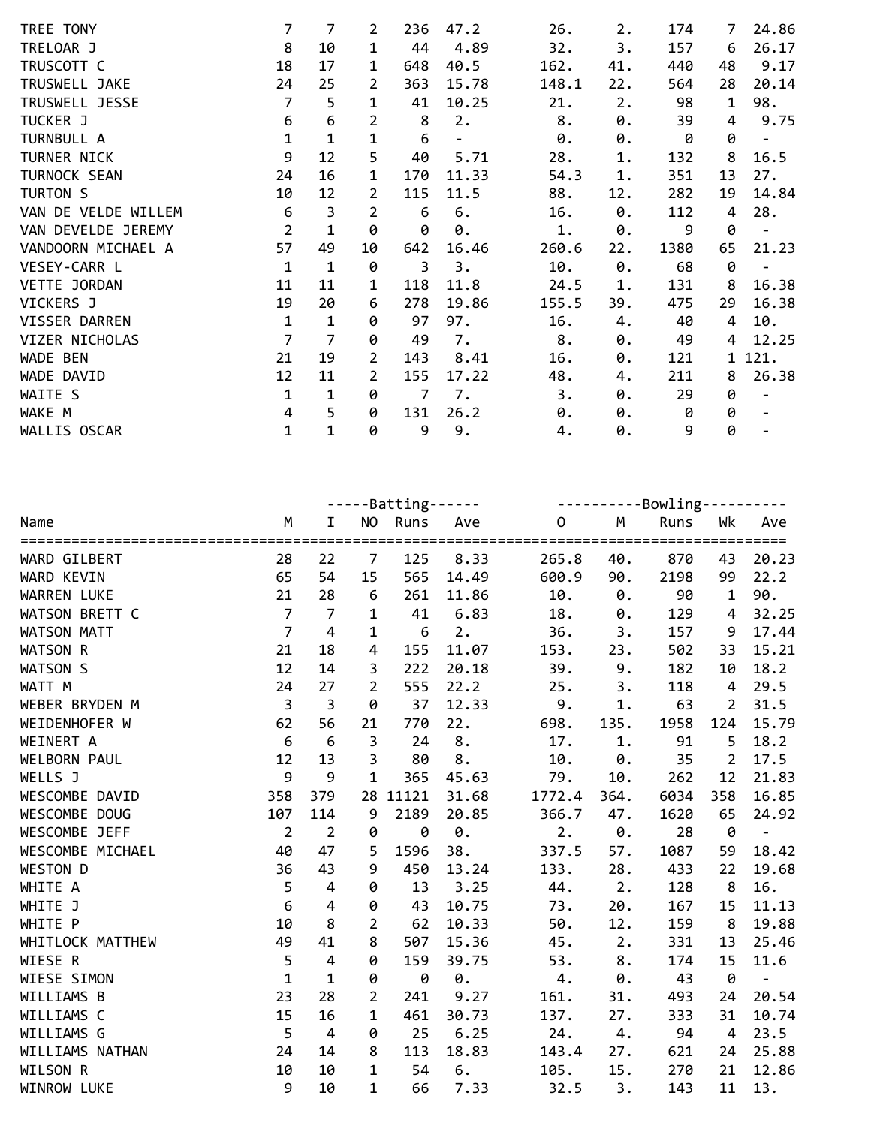| TREE TONY           | 7              | 7              | $\overline{2}$ | 236 | 47.2  | 26.   | 2.  | 174  | 7           | 24.86                    |
|---------------------|----------------|----------------|----------------|-----|-------|-------|-----|------|-------------|--------------------------|
| TRELOAR J           | 8              | 10             | 1              | 44  | 4.89  | 32.   | З.  | 157  | 6           | 26.17                    |
| TRUSCOTT C          | 18             | 17             | 1              | 648 | 40.5  | 162.  | 41. | 440  | 48          | 9.17                     |
| TRUSWELL JAKE       | 24             | 25             | $\overline{2}$ | 363 | 15.78 | 148.1 | 22. | 564  | 28          | 20.14                    |
| TRUSWELL JESSE      | $\overline{7}$ | 5              | $\mathbf{1}$   | 41  | 10.25 | 21.   | 2.  | 98   | $\mathbf 1$ | 98.                      |
| TUCKER J            | 6              | 6              | 2              | 8   | 2.    | 8.    | 0.  | 39   | 4           | 9.75                     |
| TURNBULL A          | $\mathbf{1}$   | 1              | 1              | 6   |       | 0.    | 0.  | 0    | 0           |                          |
| TURNER NICK         | 9              | 12             | 5              | 40  | 5.71  | 28.   | 1.  | 132  | 8           | 16.5                     |
| TURNOCK SEAN        | 24             | 16             | $\mathbf{1}$   | 170 | 11.33 | 54.3  | 1.  | 351  | 13          | 27.                      |
| TURTON S            | 10             | 12             | $\overline{2}$ | 115 | 11.5  | 88.   | 12. | 282  | 19          | 14.84                    |
| VAN DE VELDE WILLEM | 6              | 3              | 2              | 6   | 6.    | 16.   | 0.  | 112  | 4           | 28.                      |
| VAN DEVELDE JEREMY  | $\overline{2}$ | 1              | 0              | 0   | 0.    | 1.    | 0.  | 9    | 0           | $\overline{\phantom{m}}$ |
| VANDOORN MICHAEL A  | 57             | 49             | 10             | 642 | 16.46 | 260.6 | 22. | 1380 | 65          | 21.23                    |
| VESEY-CARR L        | $\mathbf{1}$   | $\mathbf{1}$   | 0              | 3   | 3.    | 10.   | 0.  | 68   | 0           | $\overline{\phantom{0}}$ |
| VETTE JORDAN        | 11             | 11             | 1              | 118 | 11.8  | 24.5  | 1.  | 131  | 8           | 16.38                    |
| VICKERS J           | 19             | 20             | 6              | 278 | 19.86 | 155.5 | 39. | 475  | 29          | 16.38                    |
| VISSER DARREN       | $\mathbf{1}$   | 1              | 0              | 97  | 97.   | 16.   | 4.  | 40   | 4           | 10.                      |
| VIZER NICHOLAS      | $\overline{7}$ | $\overline{7}$ | 0              | 49  | 7.    | 8.    | 0.  | 49   | 4           | 12.25                    |
| WADE BEN            | 21             | 19             | 2              | 143 | 8.41  | 16.   | 0.  | 121  | 1           | 121.                     |
| WADE DAVID          | 12             | 11             | 2              | 155 | 17.22 | 48.   | 4.  | 211  | 8           | 26.38                    |
| WAITE S             | $\mathbf{1}$   | $\mathbf 1$    | 0              | 7   | 7.    | 3.    | 0.  | 29   | 0           | $\overline{a}$           |
| WAKE M              | 4              | 5              | 0              | 131 | 26.2  | 0.    | 0.  | 0    | 0           |                          |
| WALLIS OSCAR        | $\mathbf 1$    | 1              | 0              | 9   | 9.    | 4.    | 0.  | 9    | 0           |                          |

|                    |                 |                |                | -----Batting------ |       |              | ----------Bowling---------- |      |                |                     |  |
|--------------------|-----------------|----------------|----------------|--------------------|-------|--------------|-----------------------------|------|----------------|---------------------|--|
| Name               | M               | I.             |                | NO Runs            | Ave   | $\mathsf{O}$ | M                           | Runs | Wk             | Ave                 |  |
| WARD GILBERT       | 28              | 22             | $\overline{7}$ | 125                | 8.33  | 265.8        | 40.                         | 870  | 43             | 20.23               |  |
| WARD KEVIN         | 65              | 54             | 15             | 565                | 14.49 | 600.9        | 90.                         | 2198 | 99             | 22.2                |  |
| <b>WARREN LUKE</b> | 21              | 28             | $\epsilon$     | 261                | 11.86 | 10.          | 0.                          | 90   | $\mathbf 1$    | 90.                 |  |
| WATSON BRETT C     | $\overline{7}$  | $\overline{7}$ | 1              | 41                 | 6.83  | 18.          | 0.                          | 129  | 4              | 32.25               |  |
| <b>WATSON MATT</b> | $\overline{7}$  | $\overline{4}$ | $\mathbf{1}$   | $6\,$              | 2.    | 36.          | 3.                          | 157  | 9              | 17.44               |  |
| WATSON R           | 21              | 18             | $\overline{4}$ | 155                | 11.07 | 153.         | 23.                         | 502  | 33             | 15.21               |  |
| WATSON S           | 12              | 14             | 3              | 222                | 20.18 | 39.          | $9$ .                       | 182  | 10             | 18.2                |  |
| WATT M             | 24              | 27             | $\overline{2}$ | 555                | 22.2  | 25.          | 3.                          | 118  | 4              | 29.5                |  |
| WEBER BRYDEN M     | $\overline{3}$  | $\overline{3}$ | 0              | 37                 | 12.33 | 9.           | $1$ .                       | 63   | $\overline{2}$ | 31.5                |  |
| WEIDENHOFER W      | 62              | 56             | 21             | 770                | 22.   | 698.         | 135.                        | 1958 | 124            | 15.79               |  |
| WEINERT A          | 6               | 6              | 3              | 24                 | 8.    | 17.          | 1.                          | 91   | 5              | 18.2                |  |
| WELBORN PAUL       | 12              | 13             | 3              | 80                 | 8.    | 10.          | 0.                          | 35   | $\overline{2}$ | 17.5                |  |
| WELLS J            | 9               | 9              | $\mathbf{1}$   | 365                | 45.63 | 79.          | 10.                         | 262  | 12             | 21.83               |  |
| WESCOMBE DAVID     | 358             | 379            |                | 28 11121           | 31.68 | 1772.4       | 364.                        | 6034 | 358            | 16.85               |  |
| WESCOMBE DOUG      | 107             | 114            | 9              | 2189               | 20.85 | 366.7        | 47.                         | 1620 | 65             | 24.92               |  |
| WESCOMBE JEFF      | $\overline{2}$  | $\overline{2}$ | 0              | 0                  | 0.    | 2.           | $\theta$ .                  | 28   | 0              | $\omega_{\rm{max}}$ |  |
| WESCOMBE MICHAEL   | 40              | 47             | 5              | 1596               | 38.   | 337.5        | 57.                         | 1087 | 59             | 18.42               |  |
| WESTON D           | 36              | 43             | 9              | 450                | 13.24 | 133.         | 28.                         | 433  | 22             | 19.68               |  |
| WHITE A            | 5               | $\pmb{4}$      | 0              | 13                 | 3.25  | 44.          | 2.                          | 128  | 8              | 16.                 |  |
| WHITE J            | $6\phantom{1}6$ | $\overline{4}$ | 0              | 43                 | 10.75 | 73.          | 20.                         | 167  | 15             | 11.13               |  |
| WHITE P            | 10              | 8              | $\overline{2}$ | 62                 | 10.33 | 50.          | 12.                         | 159  | 8              | 19.88               |  |
| WHITLOCK MATTHEW   | 49              | 41             | 8              | 507                | 15.36 | 45.          | 2.                          | 331  | 13             | 25.46               |  |
| WIESE R            | 5               | $\pmb{4}$      | 0              | 159                | 39.75 | 53.          | 8.                          | 174  | 15             | 11.6                |  |
| WIESE SIMON        | $\mathbf{1}$    | $\mathbf 1$    | 0              | 0                  | 0.    | 4.           | 0.                          | 43   | 0              | $\frac{1}{2}$       |  |
| WILLIAMS B         | 23              | 28             | 2              | 241                | 9.27  | 161.         | 31.                         | 493  | 24             | 20.54               |  |
| WILLIAMS C         | 15              | 16             | $\mathbf{1}$   | 461                | 30.73 | 137.         | 27.                         | 333  | 31             | 10.74               |  |
| WILLIAMS G         | 5               | $\overline{4}$ | 0              | 25                 | 6.25  | 24.          | 4.                          | 94   | $\overline{4}$ | 23.5                |  |
| WILLIAMS NATHAN    | 24              | 14             | 8              | 113                | 18.83 | 143.4        | 27.                         | 621  | 24             | 25.88               |  |
| WILSON R           | 10              | 10             | 1              | 54                 | 6.    | 105.         | 15.                         | 270  | 21             | 12.86               |  |
| WINROW LUKE        | 9               | 10             | $\mathbf{1}$   | 66                 | 7.33  | 32.5         | 3.                          | 143  | 11             | 13.                 |  |